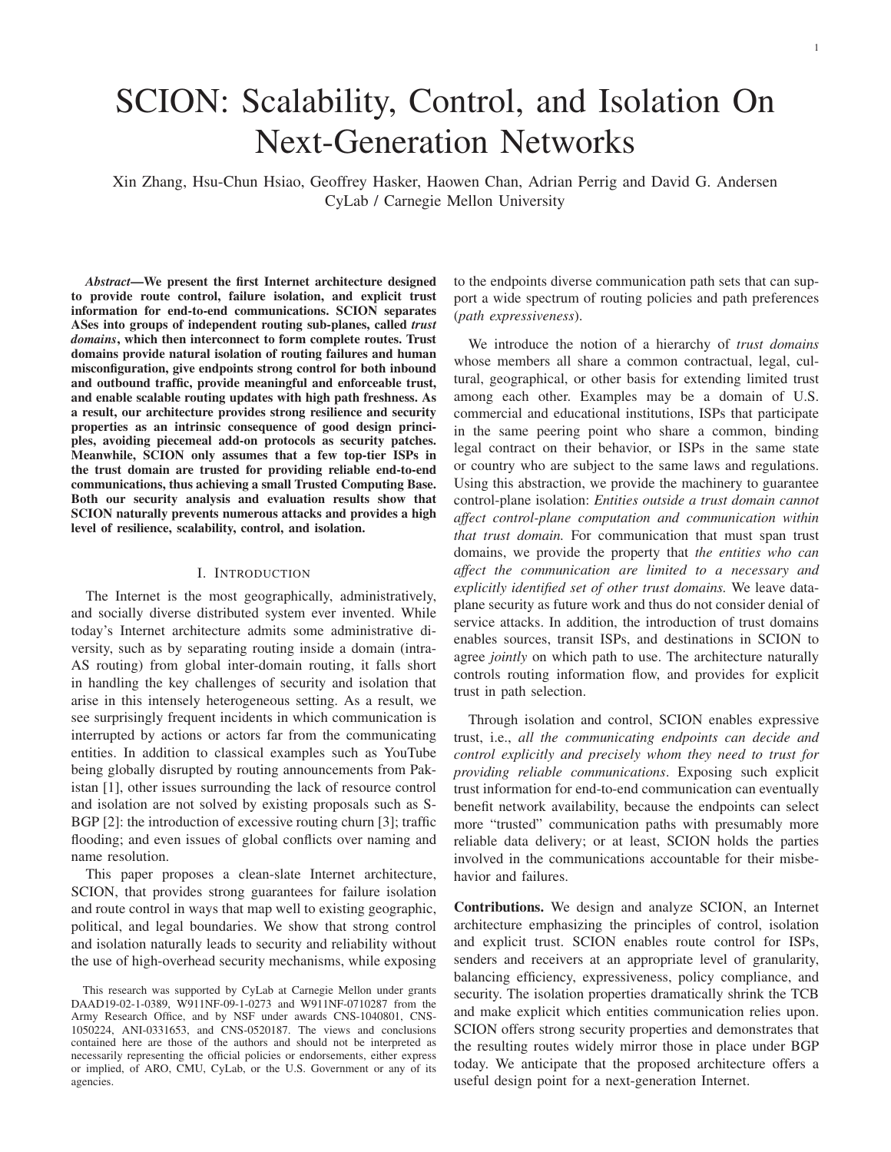# SCION: Scalability, Control, and Isolation On Next-Generation Networks

Xin Zhang, Hsu-Chun Hsiao, Geoffrey Hasker, Haowen Chan, Adrian Perrig and David G. Andersen CyLab / Carnegie Mellon University

*Abstract*—We present the first Internet architecture designed to provide route control, failure isolation, and explicit trust information for end-to-end communications. SCION separates ASes into groups of independent routing sub-planes, called *trust domains*, which then interconnect to form complete routes. Trust domains provide natural isolation of routing failures and human misconfiguration, give endpoints strong control for both inbound and outbound traffic, provide meaningful and enforceable trust, and enable scalable routing updates with high path freshness. As a result, our architecture provides strong resilience and security properties as an intrinsic consequence of good design principles, avoiding piecemeal add-on protocols as security patches. Meanwhile, SCION only assumes that a few top-tier ISPs in the trust domain are trusted for providing reliable end-to-end communications, thus achieving a small Trusted Computing Base. Both our security analysis and evaluation results show that SCION naturally prevents numerous attacks and provides a high level of resilience, scalability, control, and isolation.

## I. INTRODUCTION

The Internet is the most geographically, administratively, and socially diverse distributed system ever invented. While today's Internet architecture admits some administrative diversity, such as by separating routing inside a domain (intra-AS routing) from global inter-domain routing, it falls short in handling the key challenges of security and isolation that arise in this intensely heterogeneous setting. As a result, we see surprisingly frequent incidents in which communication is interrupted by actions or actors far from the communicating entities. In addition to classical examples such as YouTube being globally disrupted by routing announcements from Pakistan [1], other issues surrounding the lack of resource control and isolation are not solved by existing proposals such as S-BGP [2]: the introduction of excessive routing churn [3]; traffic flooding; and even issues of global conflicts over naming and name resolution.

This paper proposes a clean-slate Internet architecture, SCION, that provides strong guarantees for failure isolation and route control in ways that map well to existing geographic, political, and legal boundaries. We show that strong control and isolation naturally leads to security and reliability without the use of high-overhead security mechanisms, while exposing

to the endpoints diverse communication path sets that can support a wide spectrum of routing policies and path preferences (*path expressiveness*).

We introduce the notion of a hierarchy of *trust domains* whose members all share a common contractual, legal, cultural, geographical, or other basis for extending limited trust among each other. Examples may be a domain of U.S. commercial and educational institutions, ISPs that participate in the same peering point who share a common, binding legal contract on their behavior, or ISPs in the same state or country who are subject to the same laws and regulations. Using this abstraction, we provide the machinery to guarantee control-plane isolation: *Entities outside a trust domain cannot affect control-plane computation and communication within that trust domain.* For communication that must span trust domains, we provide the property that *the entities who can affect the communication are limited to a necessary and explicitly identified set of other trust domains.* We leave dataplane security as future work and thus do not consider denial of service attacks. In addition, the introduction of trust domains enables sources, transit ISPs, and destinations in SCION to agree *jointly* on which path to use. The architecture naturally controls routing information flow, and provides for explicit trust in path selection.

Through isolation and control, SCION enables expressive trust, i.e., *all the communicating endpoints can decide and control explicitly and precisely whom they need to trust for providing reliable communications*. Exposing such explicit trust information for end-to-end communication can eventually benefit network availability, because the endpoints can select more "trusted" communication paths with presumably more reliable data delivery; or at least, SCION holds the parties involved in the communications accountable for their misbehavior and failures.

Contributions. We design and analyze SCION, an Internet architecture emphasizing the principles of control, isolation and explicit trust. SCION enables route control for ISPs, senders and receivers at an appropriate level of granularity, balancing efficiency, expressiveness, policy compliance, and security. The isolation properties dramatically shrink the TCB and make explicit which entities communication relies upon. SCION offers strong security properties and demonstrates that the resulting routes widely mirror those in place under BGP today. We anticipate that the proposed architecture offers a useful design point for a next-generation Internet.

This research was supported by CyLab at Carnegie Mellon under grants DAAD19-02-1-0389, W911NF-09-1-0273 and W911NF-0710287 from the Army Research Office, and by NSF under awards CNS-1040801, CNS-1050224, ANI-0331653, and CNS-0520187. The views and conclusions contained here are those of the authors and should not be interpreted as necessarily representing the official policies or endorsements, either express or implied, of ARO, CMU, CyLab, or the U.S. Government or any of its agencies.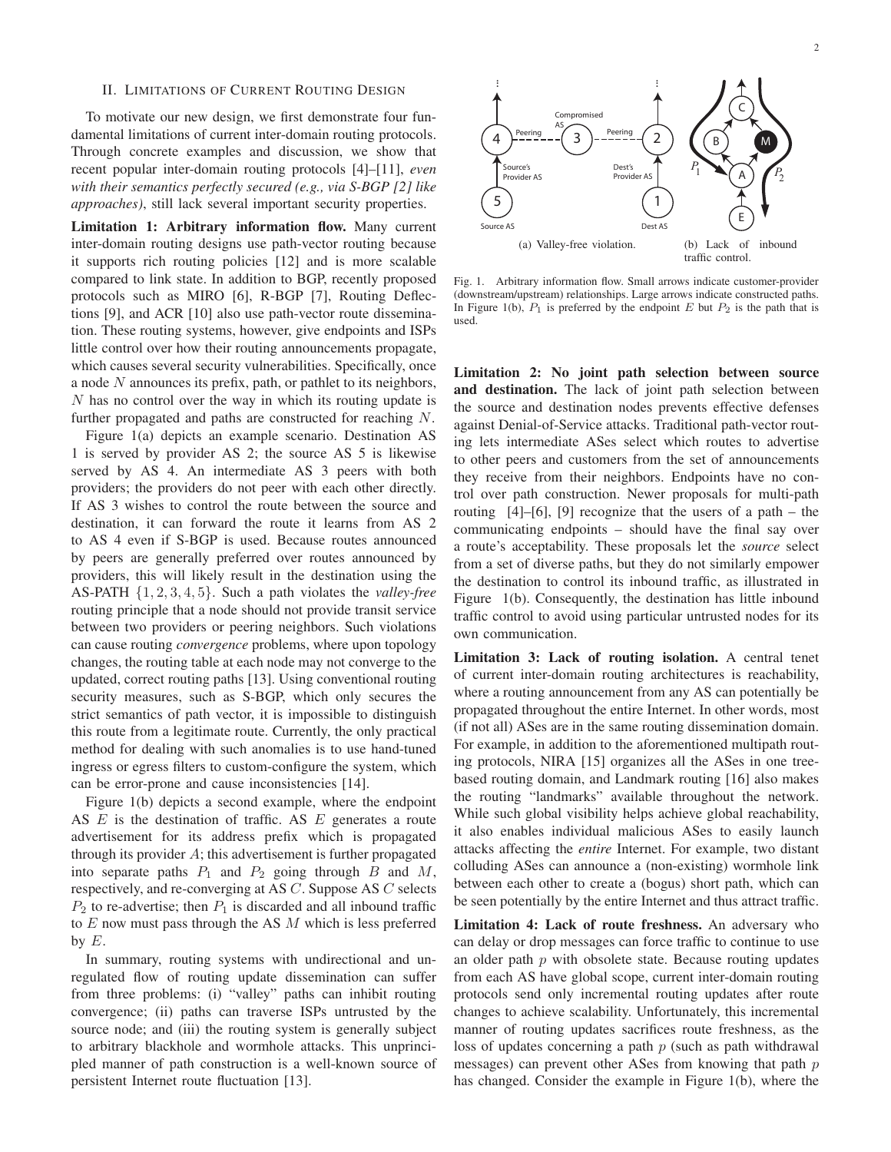# II. LIMITATIONS OF CURRENT ROUTING DESIGN

To motivate our new design, we first demonstrate four fundamental limitations of current inter-domain routing protocols. Through concrete examples and discussion, we show that recent popular inter-domain routing protocols [4]–[11], *even with their semantics perfectly secured (e.g., via S-BGP [2] like approaches)*, still lack several important security properties.

Limitation 1: Arbitrary information flow. Many current inter-domain routing designs use path-vector routing because it supports rich routing policies [12] and is more scalable compared to link state. In addition to BGP, recently proposed protocols such as MIRO [6], R-BGP [7], Routing Deflections [9], and ACR [10] also use path-vector route dissemination. These routing systems, however, give endpoints and ISPs little control over how their routing announcements propagate, which causes several security vulnerabilities. Specifically, once a node N announces its prefix, path, or pathlet to its neighbors,  $N$  has no control over the way in which its routing update is further propagated and paths are constructed for reaching N.

Figure 1(a) depicts an example scenario. Destination AS 1 is served by provider AS 2; the source AS 5 is likewise served by AS 4. An intermediate AS 3 peers with both providers; the providers do not peer with each other directly. If AS 3 wishes to control the route between the source and destination, it can forward the route it learns from AS 2 to AS 4 even if S-BGP is used. Because routes announced by peers are generally preferred over routes announced by providers, this will likely result in the destination using the AS-PATH {1, 2, 3, 4, 5}. Such a path violates the *valley-free* routing principle that a node should not provide transit service between two providers or peering neighbors. Such violations can cause routing *convergence* problems, where upon topology changes, the routing table at each node may not converge to the updated, correct routing paths [13]. Using conventional routing security measures, such as S-BGP, which only secures the strict semantics of path vector, it is impossible to distinguish this route from a legitimate route. Currently, the only practical method for dealing with such anomalies is to use hand-tuned ingress or egress filters to custom-configure the system, which can be error-prone and cause inconsistencies [14].

Figure 1(b) depicts a second example, where the endpoint AS  $E$  is the destination of traffic. AS  $E$  generates a route advertisement for its address prefix which is propagated through its provider  $A$ ; this advertisement is further propagated into separate paths  $P_1$  and  $P_2$  going through B and M, respectively, and re-converging at AS C. Suppose AS C selects  $P_2$  to re-advertise; then  $P_1$  is discarded and all inbound traffic to  $E$  now must pass through the AS  $M$  which is less preferred by  $E$ .

In summary, routing systems with undirectional and unregulated flow of routing update dissemination can suffer from three problems: (i) "valley" paths can inhibit routing convergence; (ii) paths can traverse ISPs untrusted by the source node; and (iii) the routing system is generally subject to arbitrary blackhole and wormhole attacks. This unprincipled manner of path construction is a well-known source of persistent Internet route fluctuation [13].



Fig. 1. Arbitrary information flow. Small arrows indicate customer-provider (downstream/upstream) relationships. Large arrows indicate constructed paths. In Figure 1(b),  $P_1$  is preferred by the endpoint E but  $P_2$  is the path that is used.

Limitation 2: No joint path selection between source and destination. The lack of joint path selection between the source and destination nodes prevents effective defenses against Denial-of-Service attacks. Traditional path-vector routing lets intermediate ASes select which routes to advertise to other peers and customers from the set of announcements they receive from their neighbors. Endpoints have no control over path construction. Newer proposals for multi-path routing  $[4]$ – $[6]$ ,  $[9]$  recognize that the users of a path – the communicating endpoints – should have the final say over a route's acceptability. These proposals let the *source* select from a set of diverse paths, but they do not similarly empower the destination to control its inbound traffic, as illustrated in Figure 1(b). Consequently, the destination has little inbound traffic control to avoid using particular untrusted nodes for its own communication.

Limitation 3: Lack of routing isolation. A central tenet of current inter-domain routing architectures is reachability, where a routing announcement from any AS can potentially be propagated throughout the entire Internet. In other words, most (if not all) ASes are in the same routing dissemination domain. For example, in addition to the aforementioned multipath routing protocols, NIRA [15] organizes all the ASes in one treebased routing domain, and Landmark routing [16] also makes the routing "landmarks" available throughout the network. While such global visibility helps achieve global reachability, it also enables individual malicious ASes to easily launch attacks affecting the *entire* Internet. For example, two distant colluding ASes can announce a (non-existing) wormhole link between each other to create a (bogus) short path, which can be seen potentially by the entire Internet and thus attract traffic.

Limitation 4: Lack of route freshness. An adversary who can delay or drop messages can force traffic to continue to use an older path  $p$  with obsolete state. Because routing updates from each AS have global scope, current inter-domain routing protocols send only incremental routing updates after route changes to achieve scalability. Unfortunately, this incremental manner of routing updates sacrifices route freshness, as the loss of updates concerning a path  $p$  (such as path withdrawal messages) can prevent other ASes from knowing that path  $p$ has changed. Consider the example in Figure 1(b), where the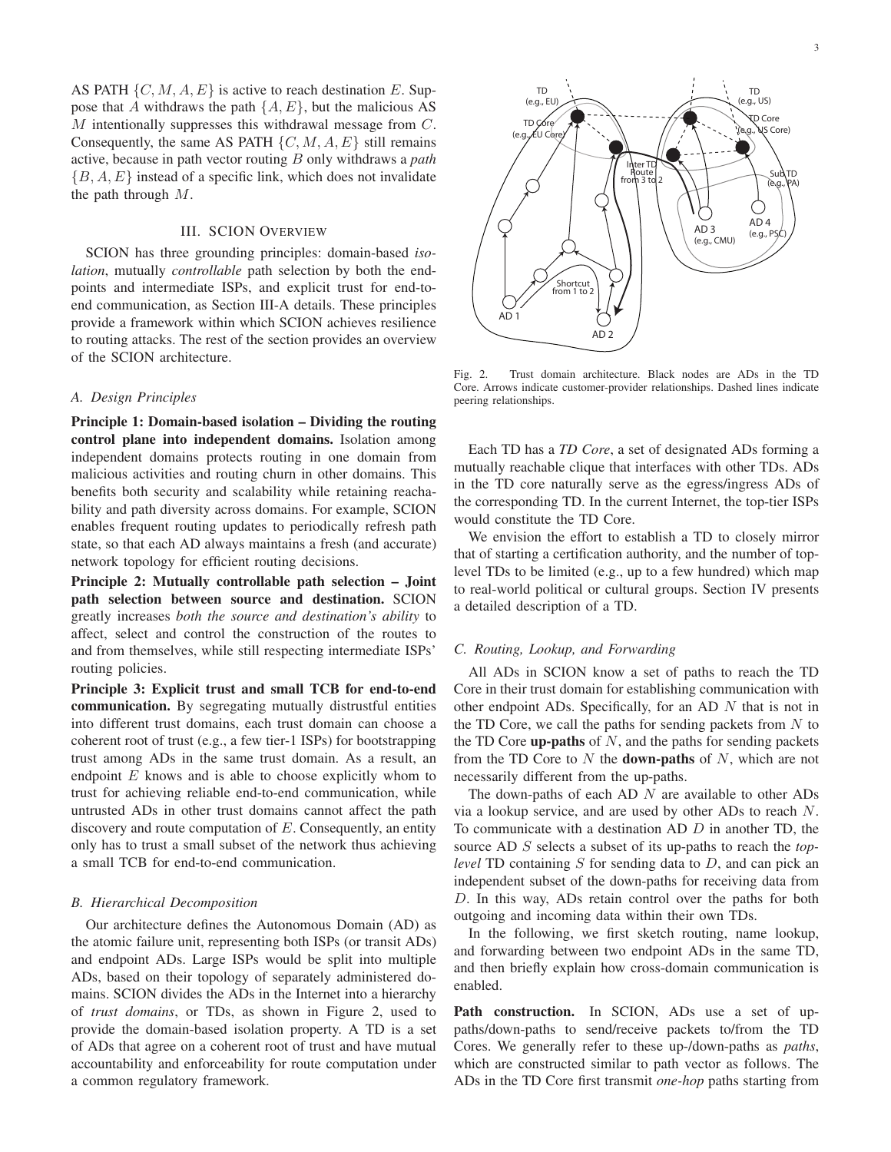AS PATH  $\{C, M, A, E\}$  is active to reach destination E. Suppose that A withdraws the path  $\{A, E\}$ , but the malicious AS M intentionally suppresses this withdrawal message from C. Consequently, the same AS PATH  $\{C, M, A, E\}$  still remains active, because in path vector routing B only withdraws a *path*  ${B, A, E}$  instead of a specific link, which does not invalidate the path through  $M$ .

# III. SCION OVERVIEW

SCION has three grounding principles: domain-based *isolation*, mutually *controllable* path selection by both the endpoints and intermediate ISPs, and explicit trust for end-toend communication, as Section III-A details. These principles provide a framework within which SCION achieves resilience to routing attacks. The rest of the section provides an overview of the SCION architecture.

# *A. Design Principles*

Principle 1: Domain-based isolation – Dividing the routing control plane into independent domains. Isolation among independent domains protects routing in one domain from malicious activities and routing churn in other domains. This benefits both security and scalability while retaining reachability and path diversity across domains. For example, SCION enables frequent routing updates to periodically refresh path state, so that each AD always maintains a fresh (and accurate) network topology for efficient routing decisions.

Principle 2: Mutually controllable path selection – Joint path selection between source and destination. SCION greatly increases *both the source and destination's ability* to affect, select and control the construction of the routes to and from themselves, while still respecting intermediate ISPs' routing policies.

Principle 3: Explicit trust and small TCB for end-to-end communication. By segregating mutually distrustful entities into different trust domains, each trust domain can choose a coherent root of trust (e.g., a few tier-1 ISPs) for bootstrapping trust among ADs in the same trust domain. As a result, an endpoint  $E$  knows and is able to choose explicitly whom to trust for achieving reliable end-to-end communication, while untrusted ADs in other trust domains cannot affect the path discovery and route computation of  $E$ . Consequently, an entity only has to trust a small subset of the network thus achieving a small TCB for end-to-end communication.

## *B. Hierarchical Decomposition*

Our architecture defines the Autonomous Domain (AD) as the atomic failure unit, representing both ISPs (or transit ADs) and endpoint ADs. Large ISPs would be split into multiple ADs, based on their topology of separately administered domains. SCION divides the ADs in the Internet into a hierarchy of *trust domains*, or TDs, as shown in Figure 2, used to provide the domain-based isolation property. A TD is a set of ADs that agree on a coherent root of trust and have mutual accountability and enforceability for route computation under a common regulatory framework.

3



Fig. 2. Trust domain architecture. Black nodes are ADs in the TD Core. Arrows indicate customer-provider relationships. Dashed lines indicate peering relationships.

Each TD has a *TD Core*, a set of designated ADs forming a mutually reachable clique that interfaces with other TDs. ADs in the TD core naturally serve as the egress/ingress ADs of the corresponding TD. In the current Internet, the top-tier ISPs would constitute the TD Core.

We envision the effort to establish a TD to closely mirror that of starting a certification authority, and the number of toplevel TDs to be limited (e.g., up to a few hundred) which map to real-world political or cultural groups. Section IV presents a detailed description of a TD.

# *C. Routing, Lookup, and Forwarding*

All ADs in SCION know a set of paths to reach the TD Core in their trust domain for establishing communication with other endpoint ADs. Specifically, for an AD N that is not in the TD Core, we call the paths for sending packets from  $N$  to the TD Core  $up-paths$  of N, and the paths for sending packets from the TD Core to  $N$  the **down-paths** of  $N$ , which are not necessarily different from the up-paths.

The down-paths of each AD  $N$  are available to other ADs via a lookup service, and are used by other ADs to reach N. To communicate with a destination AD D in another TD, the source AD S selects a subset of its up-paths to reach the *toplevel* TD containing S for sending data to D, and can pick an independent subset of the down-paths for receiving data from D. In this way, ADs retain control over the paths for both outgoing and incoming data within their own TDs.

In the following, we first sketch routing, name lookup, and forwarding between two endpoint ADs in the same TD, and then briefly explain how cross-domain communication is enabled.

Path construction. In SCION, ADs use a set of uppaths/down-paths to send/receive packets to/from the TD Cores. We generally refer to these up-/down-paths as *paths*, which are constructed similar to path vector as follows. The ADs in the TD Core first transmit *one-hop* paths starting from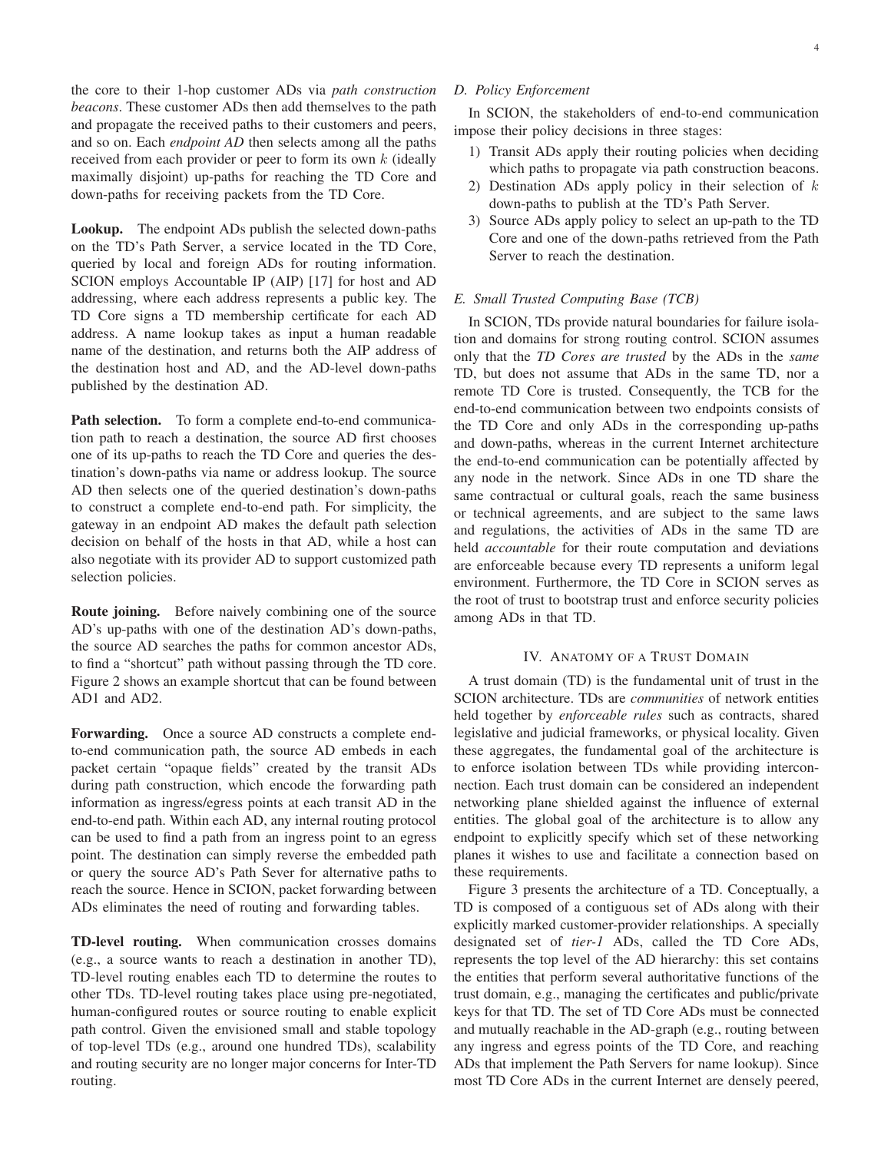the core to their 1-hop customer ADs via *path construction beacons*. These customer ADs then add themselves to the path and propagate the received paths to their customers and peers, and so on. Each *endpoint AD* then selects among all the paths received from each provider or peer to form its own  $k$  (ideally maximally disjoint) up-paths for reaching the TD Core and down-paths for receiving packets from the TD Core.

Lookup. The endpoint ADs publish the selected down-paths on the TD's Path Server, a service located in the TD Core, queried by local and foreign ADs for routing information. SCION employs Accountable IP (AIP) [17] for host and AD addressing, where each address represents a public key. The TD Core signs a TD membership certificate for each AD address. A name lookup takes as input a human readable name of the destination, and returns both the AIP address of the destination host and AD, and the AD-level down-paths published by the destination AD.

**Path selection.** To form a complete end-to-end communication path to reach a destination, the source AD first chooses one of its up-paths to reach the TD Core and queries the destination's down-paths via name or address lookup. The source AD then selects one of the queried destination's down-paths to construct a complete end-to-end path. For simplicity, the gateway in an endpoint AD makes the default path selection decision on behalf of the hosts in that AD, while a host can also negotiate with its provider AD to support customized path selection policies.

Route joining. Before naively combining one of the source AD's up-paths with one of the destination AD's down-paths, the source AD searches the paths for common ancestor ADs, to find a "shortcut" path without passing through the TD core. Figure 2 shows an example shortcut that can be found between AD1 and AD2.

Forwarding. Once a source AD constructs a complete endto-end communication path, the source AD embeds in each packet certain "opaque fields" created by the transit ADs during path construction, which encode the forwarding path information as ingress/egress points at each transit AD in the end-to-end path. Within each AD, any internal routing protocol can be used to find a path from an ingress point to an egress point. The destination can simply reverse the embedded path or query the source AD's Path Sever for alternative paths to reach the source. Hence in SCION, packet forwarding between ADs eliminates the need of routing and forwarding tables.

TD-level routing. When communication crosses domains (e.g., a source wants to reach a destination in another TD), TD-level routing enables each TD to determine the routes to other TDs. TD-level routing takes place using pre-negotiated, human-configured routes or source routing to enable explicit path control. Given the envisioned small and stable topology of top-level TDs (e.g., around one hundred TDs), scalability and routing security are no longer major concerns for Inter-TD routing.

# *D. Policy Enforcement*

In SCION, the stakeholders of end-to-end communication impose their policy decisions in three stages:

- 1) Transit ADs apply their routing policies when deciding which paths to propagate via path construction beacons.
- 2) Destination ADs apply policy in their selection of  $k$ down-paths to publish at the TD's Path Server.
- 3) Source ADs apply policy to select an up-path to the TD Core and one of the down-paths retrieved from the Path Server to reach the destination.

# *E. Small Trusted Computing Base (TCB)*

In SCION, TDs provide natural boundaries for failure isolation and domains for strong routing control. SCION assumes only that the *TD Cores are trusted* by the ADs in the *same* TD, but does not assume that ADs in the same TD, nor a remote TD Core is trusted. Consequently, the TCB for the end-to-end communication between two endpoints consists of the TD Core and only ADs in the corresponding up-paths and down-paths, whereas in the current Internet architecture the end-to-end communication can be potentially affected by any node in the network. Since ADs in one TD share the same contractual or cultural goals, reach the same business or technical agreements, and are subject to the same laws and regulations, the activities of ADs in the same TD are held *accountable* for their route computation and deviations are enforceable because every TD represents a uniform legal environment. Furthermore, the TD Core in SCION serves as the root of trust to bootstrap trust and enforce security policies among ADs in that TD.

## IV. ANATOMY OF A TRUST DOMAIN

A trust domain (TD) is the fundamental unit of trust in the SCION architecture. TDs are *communities* of network entities held together by *enforceable rules* such as contracts, shared legislative and judicial frameworks, or physical locality. Given these aggregates, the fundamental goal of the architecture is to enforce isolation between TDs while providing interconnection. Each trust domain can be considered an independent networking plane shielded against the influence of external entities. The global goal of the architecture is to allow any endpoint to explicitly specify which set of these networking planes it wishes to use and facilitate a connection based on these requirements.

Figure 3 presents the architecture of a TD. Conceptually, a TD is composed of a contiguous set of ADs along with their explicitly marked customer-provider relationships. A specially designated set of *tier-1* ADs, called the TD Core ADs, represents the top level of the AD hierarchy: this set contains the entities that perform several authoritative functions of the trust domain, e.g., managing the certificates and public/private keys for that TD. The set of TD Core ADs must be connected and mutually reachable in the AD-graph (e.g., routing between any ingress and egress points of the TD Core, and reaching ADs that implement the Path Servers for name lookup). Since most TD Core ADs in the current Internet are densely peered,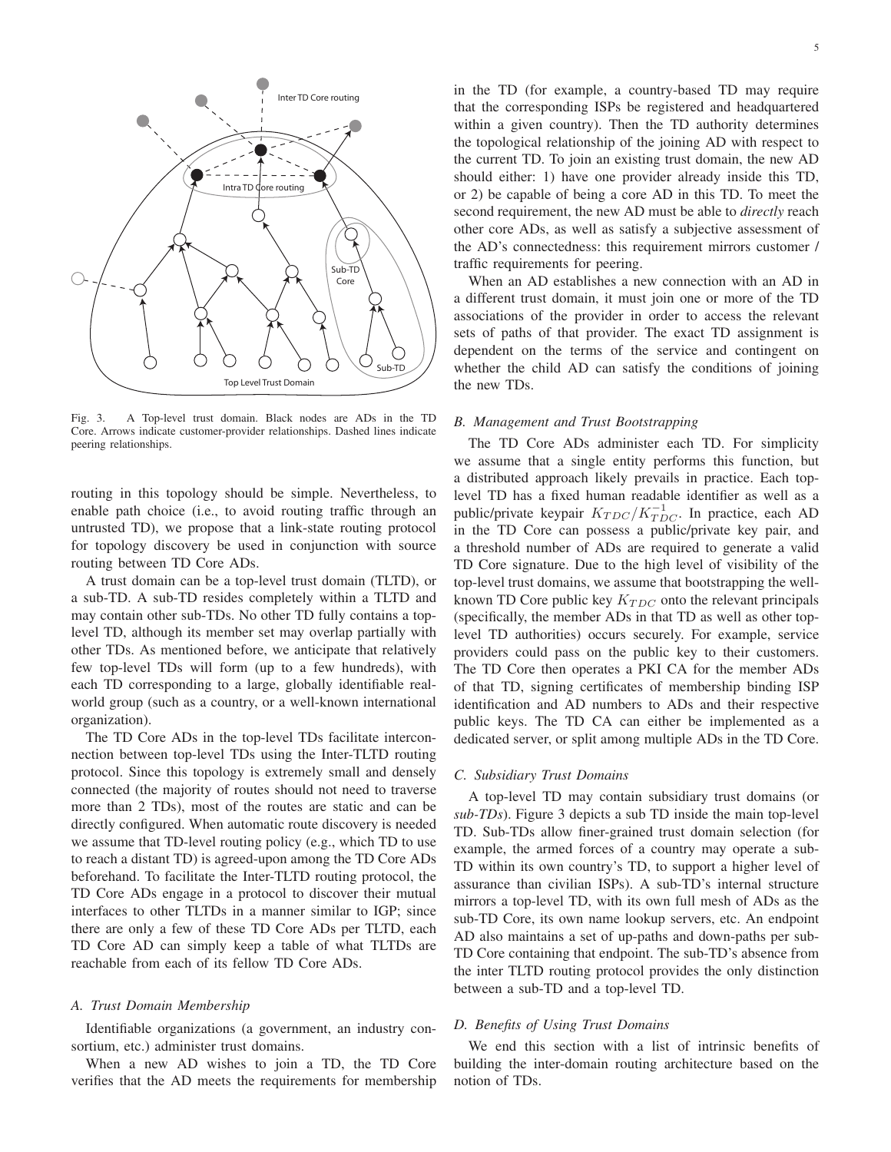

Fig. 3. A Top-level trust domain. Black nodes are ADs in the TD Core. Arrows indicate customer-provider relationships. Dashed lines indicate peering relationships.

routing in this topology should be simple. Nevertheless, to enable path choice (i.e., to avoid routing traffic through an untrusted TD), we propose that a link-state routing protocol for topology discovery be used in conjunction with source routing between TD Core ADs.

A trust domain can be a top-level trust domain (TLTD), or a sub-TD. A sub-TD resides completely within a TLTD and may contain other sub-TDs. No other TD fully contains a toplevel TD, although its member set may overlap partially with other TDs. As mentioned before, we anticipate that relatively few top-level TDs will form (up to a few hundreds), with each TD corresponding to a large, globally identifiable realworld group (such as a country, or a well-known international organization).

The TD Core ADs in the top-level TDs facilitate interconnection between top-level TDs using the Inter-TLTD routing protocol. Since this topology is extremely small and densely connected (the majority of routes should not need to traverse more than 2 TDs), most of the routes are static and can be directly configured. When automatic route discovery is needed we assume that TD-level routing policy (e.g., which TD to use to reach a distant TD) is agreed-upon among the TD Core ADs beforehand. To facilitate the Inter-TLTD routing protocol, the TD Core ADs engage in a protocol to discover their mutual interfaces to other TLTDs in a manner similar to IGP; since there are only a few of these TD Core ADs per TLTD, each TD Core AD can simply keep a table of what TLTDs are reachable from each of its fellow TD Core ADs.

# *A. Trust Domain Membership*

Identifiable organizations (a government, an industry consortium, etc.) administer trust domains.

When a new AD wishes to join a TD, the TD Core verifies that the AD meets the requirements for membership in the TD (for example, a country-based TD may require that the corresponding ISPs be registered and headquartered within a given country). Then the TD authority determines the topological relationship of the joining AD with respect to the current TD. To join an existing trust domain, the new AD should either: 1) have one provider already inside this TD, or 2) be capable of being a core AD in this TD. To meet the second requirement, the new AD must be able to *directly* reach other core ADs, as well as satisfy a subjective assessment of the AD's connectedness: this requirement mirrors customer / traffic requirements for peering.

When an AD establishes a new connection with an AD in a different trust domain, it must join one or more of the TD associations of the provider in order to access the relevant sets of paths of that provider. The exact TD assignment is dependent on the terms of the service and contingent on whether the child AD can satisfy the conditions of joining the new TDs.

# *B. Management and Trust Bootstrapping*

The TD Core ADs administer each TD. For simplicity we assume that a single entity performs this function, but a distributed approach likely prevails in practice. Each toplevel TD has a fixed human readable identifier as well as a public/private keypair  $K_{TDC}/K_{TDC}^{-1}$ . In practice, each AD in the TD Core can possess a public/private key pair, and a threshold number of ADs are required to generate a valid TD Core signature. Due to the high level of visibility of the top-level trust domains, we assume that bootstrapping the wellknown TD Core public key  $K_{TDC}$  onto the relevant principals (specifically, the member ADs in that TD as well as other toplevel TD authorities) occurs securely. For example, service providers could pass on the public key to their customers. The TD Core then operates a PKI CA for the member ADs of that TD, signing certificates of membership binding ISP identification and AD numbers to ADs and their respective public keys. The TD CA can either be implemented as a dedicated server, or split among multiple ADs in the TD Core.

# *C. Subsidiary Trust Domains*

A top-level TD may contain subsidiary trust domains (or *sub-TDs*). Figure 3 depicts a sub TD inside the main top-level TD. Sub-TDs allow finer-grained trust domain selection (for example, the armed forces of a country may operate a sub-TD within its own country's TD, to support a higher level of assurance than civilian ISPs). A sub-TD's internal structure mirrors a top-level TD, with its own full mesh of ADs as the sub-TD Core, its own name lookup servers, etc. An endpoint AD also maintains a set of up-paths and down-paths per sub-TD Core containing that endpoint. The sub-TD's absence from the inter TLTD routing protocol provides the only distinction between a sub-TD and a top-level TD.

# *D. Benefits of Using Trust Domains*

We end this section with a list of intrinsic benefits of building the inter-domain routing architecture based on the notion of TDs.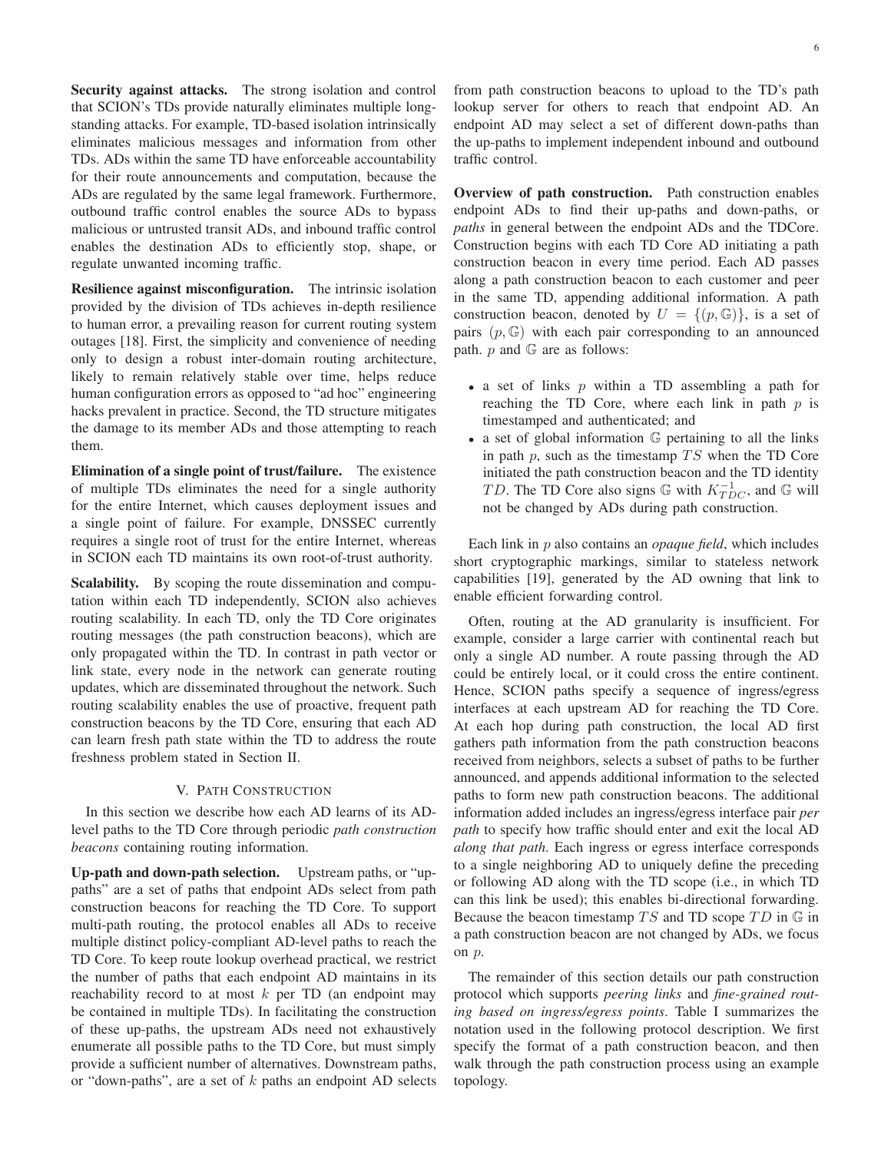Security against attacks. The strong isolation and control that SCION's TDs provide naturally eliminates multiple longstanding attacks. For example, TD-based isolation intrinsically eliminates malicious messages and information from other TDs. ADs within the same TD have enforceable accountability for their route announcements and computation, because the ADs are regulated by the same legal framework. Furthermore, outbound traffic control enables the source ADs to bypass malicious or untrusted transit ADs, and inbound traffic control enables the destination ADs to efficiently stop, shape, or regulate unwanted incoming traffic.

Resilience against misconfiguration. The intrinsic isolation provided by the division of TDs achieves in-depth resilience to human error, a prevailing reason for current routing system outages [18]. First, the simplicity and convenience of needing only to design a robust inter-domain routing architecture, likely to remain relatively stable over time, helps reduce human configuration errors as opposed to "ad hoc" engineering hacks prevalent in practice. Second, the TD structure mitigates the damage to its member ADs and those attempting to reach them.

Elimination of a single point of trust/failure. The existence of multiple TDs eliminates the need for a single authority for the entire Internet, which causes deployment issues and a single point of failure. For example, DNSSEC currently requires a single root of trust for the entire Internet, whereas in SCION each TD maintains its own root-of-trust authority.

Scalability. By scoping the route dissemination and computation within each TD independently, SCION also achieves routing scalability. In each TD, only the TD Core originates routing messages (the path construction beacons), which are only propagated within the TD. In contrast in path vector or link state, every node in the network can generate routing updates, which are disseminated throughout the network. Such routing scalability enables the use of proactive, frequent path construction beacons by the TD Core, ensuring that each AD can learn fresh path state within the TD to address the route freshness problem stated in Section II.

# V. PATH CONSTRUCTION

In this section we describe how each AD learns of its ADlevel paths to the TD Core through periodic *path construction beacons* containing routing information.

Up-path and down-path selection. Upstream paths, or "uppaths" are a set of paths that endpoint ADs select from path construction beacons for reaching the TD Core. To support multi-path routing, the protocol enables all ADs to receive multiple distinct policy-compliant AD-level paths to reach the TD Core. To keep route lookup overhead practical, we restrict the number of paths that each endpoint AD maintains in its reachability record to at most  $k$  per TD (an endpoint may be contained in multiple TDs). In facilitating the construction of these up-paths, the upstream ADs need not exhaustively enumerate all possible paths to the TD Core, but must simply provide a sufficient number of alternatives. Downstream paths, or "down-paths", are a set of  $k$  paths an endpoint AD selects

from path construction beacons to upload to the TD's path lookup server for others to reach that endpoint AD. An endpoint AD may select a set of different down-paths than the up-paths to implement independent inbound and outbound traffic control.

Overview of path construction. Path construction enables endpoint ADs to find their up-paths and down-paths, or *paths* in general between the endpoint ADs and the TDCore. Construction begins with each TD Core AD initiating a path construction beacon in every time period. Each AD passes along a path construction beacon to each customer and peer in the same TD, appending additional information. A path construction beacon, denoted by  $U = \{(p, \mathbb{G})\}\$ , is a set of pairs  $(p, \mathbb{G})$  with each pair corresponding to an announced path.  $p$  and  $\mathbb{G}$  are as follows:

- a set of links p within a TD assembling a path for reaching the TD Core, where each link in path  $p$  is timestamped and authenticated; and
- a set of global information  $G$  pertaining to all the links in path  $p$ , such as the timestamp  $TS$  when the TD Core initiated the path construction beacon and the TD identity *TD*. The TD Core also signs  $\mathbb{G}$  with  $K_{TDC}^{-1}$ , and  $\mathbb{G}$  will not be changed by ADs during path construction.

Each link in p also contains an *opaque field*, which includes short cryptographic markings, similar to stateless network capabilities [19], generated by the AD owning that link to enable efficient forwarding control.

Often, routing at the AD granularity is insufficient. For example, consider a large carrier with continental reach but only a single AD number. A route passing through the AD could be entirely local, or it could cross the entire continent. Hence, SCION paths specify a sequence of ingress/egress interfaces at each upstream AD for reaching the TD Core. At each hop during path construction, the local AD first gathers path information from the path construction beacons received from neighbors, selects a subset of paths to be further announced, and appends additional information to the selected paths to form new path construction beacons. The additional information added includes an ingress/egress interface pair *per path* to specify how traffic should enter and exit the local AD *along that path*. Each ingress or egress interface corresponds to a single neighboring AD to uniquely define the preceding or following AD along with the TD scope (i.e., in which TD can this link be used); this enables bi-directional forwarding. Because the beacon timestamp  $TS$  and TD scope  $TD$  in  $\mathbb G$  in a path construction beacon are not changed by ADs, we focus on p.

The remainder of this section details our path construction protocol which supports *peering links* and *fine-grained routing based on ingress/egress points*. Table I summarizes the notation used in the following protocol description. We first specify the format of a path construction beacon, and then walk through the path construction process using an example topology.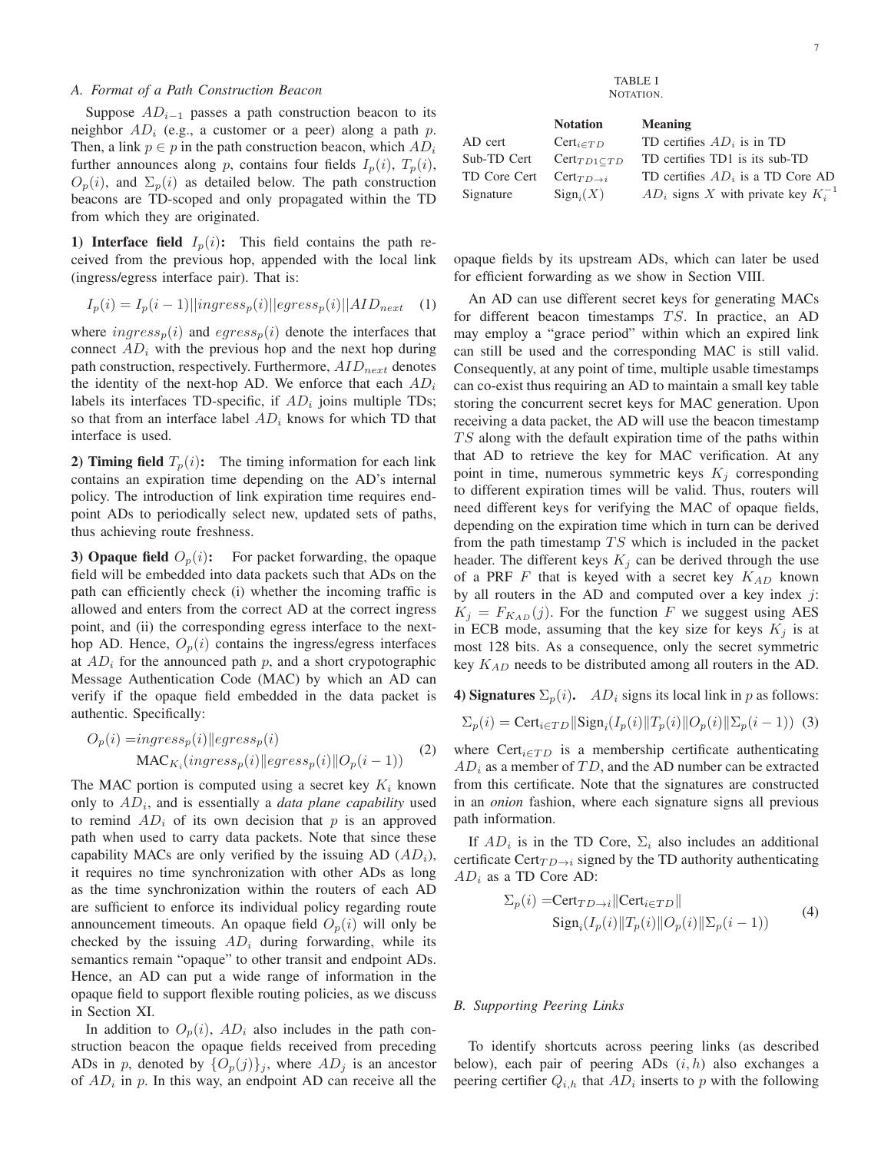## *A. Format of a Path Construction Beacon*

Suppose  $AD_{i-1}$  passes a path construction beacon to its neighbor  $AD_i$  (e.g., a customer or a peer) along a path p. Then, a link  $p \in p$  in the path construction beacon, which  $AD_i$ further announces along p, contains four fields  $I_p(i)$ ,  $T_p(i)$ ,  $O_p(i)$ , and  $\Sigma_p(i)$  as detailed below. The path construction beacons are TD-scoped and only propagated within the TD from which they are originated.

1) Interface field  $I_p(i)$ : This field contains the path received from the previous hop, appended with the local link (ingress/egress interface pair). That is:

$$
I_p(i) = I_p(i-1)||ingress_p(i)||egress_p(i)||AID_{next} \quad (1)
$$

where  $ingress_p(i)$  and  $egress_p(i)$  denote the interfaces that connect  $AD_i$  with the previous hop and the next hop during path construction, respectively. Furthermore,  $AID_{next}$  denotes the identity of the next-hop AD. We enforce that each  $AD_i$ labels its interfaces TD-specific, if  $AD_i$  joins multiple TDs; so that from an interface label  $AD<sub>i</sub>$  knows for which TD that interface is used.

2) Timing field  $T_p(i)$ : The timing information for each link contains an expiration time depending on the AD's internal policy. The introduction of link expiration time requires endpoint ADs to periodically select new, updated sets of paths, thus achieving route freshness.

3) Opaque field  $O_p(i)$ : For packet forwarding, the opaque field will be embedded into data packets such that ADs on the path can efficiently check (i) whether the incoming traffic is allowed and enters from the correct AD at the correct ingress point, and (ii) the corresponding egress interface to the nexthop AD. Hence,  $O_p(i)$  contains the ingress/egress interfaces at  $AD_i$  for the announced path p, and a short crypotographic Message Authentication Code (MAC) by which an AD can verify if the opaque field embedded in the data packet is authentic. Specifically:

$$
O_p(i) = ingress_p(i)||egress_p(i)
$$
  

$$
\text{MAC}_{K_i}(ingress_p(i)||egress_p(i)||O_p(i-1))
$$
 (2)

The MAC portion is computed using a secret key  $K_i$  known only to  $AD<sub>i</sub>$ , and is essentially a *data plane capability* used to remind  $AD_i$  of its own decision that p is an approved path when used to carry data packets. Note that since these capability MACs are only verified by the issuing AD  $(AD_i)$ , it requires no time synchronization with other ADs as long as the time synchronization within the routers of each AD are sufficient to enforce its individual policy regarding route announcement timeouts. An opaque field  $O_p(i)$  will only be checked by the issuing  $AD_i$  during forwarding, while its semantics remain "opaque" to other transit and endpoint ADs. Hence, an AD can put a wide range of information in the opaque field to support flexible routing policies, as we discuss in Section XI.

In addition to  $O_p(i)$ ,  $AD_i$  also includes in the path construction beacon the opaque fields received from preceding ADs in p, denoted by  $\{O_p(j)\}\,$ , where  $AD_j$  is an ancestor of  $AD_i$  in p. In this way, an endpoint AD can receive all the

TABLE I NOTATION.

|              | <b>Notation</b>          | Meaning                                    |
|--------------|--------------------------|--------------------------------------------|
| AD cert      | $Cert_{i \in TD}$        | TD certifies $AD_i$ is in TD               |
| Sub-TD Cert  | $Cert_{TD1CTD}$          | TD certifies TD1 is its sub-TD             |
| TD Core Cert | $Cert_{TD\rightarrow i}$ | TD certifies $AD_i$ is a TD Core AD        |
| Signature    | $Sign_i(X)$              | $AD_i$ signs X with private key $K_i^{-1}$ |
|              |                          |                                            |

opaque fields by its upstream ADs, which can later be used for efficient forwarding as we show in Section VIII.

An AD can use different secret keys for generating MACs for different beacon timestamps  $TS$ . In practice, an AD may employ a "grace period" within which an expired link can still be used and the corresponding MAC is still valid. Consequently, at any point of time, multiple usable timestamps can co-exist thus requiring an AD to maintain a small key table storing the concurrent secret keys for MAC generation. Upon receiving a data packet, the AD will use the beacon timestamp  $TS$  along with the default expiration time of the paths within that AD to retrieve the key for MAC verification. At any point in time, numerous symmetric keys  $K_i$  corresponding to different expiration times will be valid. Thus, routers will need different keys for verifying the MAC of opaque fields, depending on the expiration time which in turn can be derived from the path timestamp  $TS$  which is included in the packet header. The different keys  $K_j$  can be derived through the use of a PRF  $F$  that is keyed with a secret key  $K_{AD}$  known by all routers in the AD and computed over a key index  $j$ :  $K_j = F_{K_{AD}}(j)$ . For the function F we suggest using AES in ECB mode, assuming that the key size for keys  $K_i$  is at most 128 bits. As a consequence, only the secret symmetric key  $K_{AD}$  needs to be distributed among all routers in the AD.

4) Signatures  $\Sigma_p(i)$ .  $AD_i$  signs its local link in p as follows:  $\Sigma_p(i) = \text{Cert}_{i \in TD} \|\text{Sign}_i(I_p(i) \| T_p(i) \| O_p(i) \| \Sigma_p(i-1))$  (3)

where  $Cert_{i \in TD}$  is a membership certificate authenticating  $AD_i$  as a member of  $TD$ , and the AD number can be extracted from this certificate. Note that the signatures are constructed in an *onion* fashion, where each signature signs all previous path information.

If  $AD_i$  is in the TD Core,  $\Sigma_i$  also includes an additional certificate Cert $_{TD\rightarrow i}$  signed by the TD authority authenticating  $AD_i$  as a TD Core AD:

$$
\Sigma_p(i) = \text{Cert}_{TD \to i} \|\text{Cert}_{i \in TD}\|
$$
  
\n
$$
\text{Sign}_i(I_p(i) \| T_p(i) \| O_p(i) \| \Sigma_p(i-1))
$$
\n(4)

## *B. Supporting Peering Links*

To identify shortcuts across peering links (as described below), each pair of peering ADs  $(i, h)$  also exchanges a peering certifier  $Q_{i,h}$  that  $AD_i$  inserts to p with the following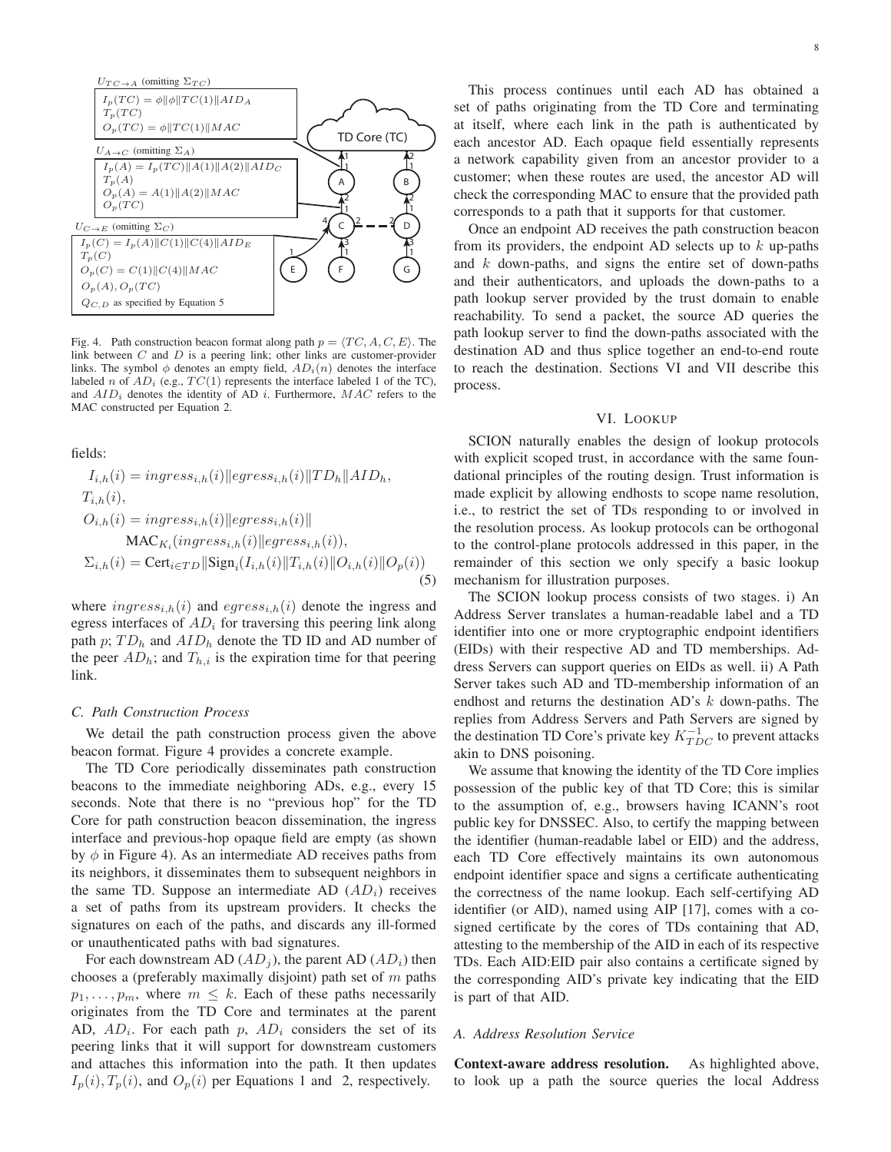

Fig. 4. Path construction beacon format along path  $p = \langle TC, A, C, E \rangle$ . The link between  $C$  and  $D$  is a peering link; other links are customer-provider links. The symbol  $\phi$  denotes an empty field,  $AD_i(n)$  denotes the interface labeled n of  $AD_i$  (e.g.,  $TC(1)$  represents the interface labeled 1 of the TC), and  $AID_i$  denotes the identity of AD i. Furthermore,  $MAC$  refers to the MAC constructed per Equation 2.

fields:

$$
I_{i,h}(i) = ingress_{i,h}(i)||egress_{i,h}(i)||TD_{h}||AID_{h},
$$
  
\n
$$
T_{i,h}(i),
$$
  
\n
$$
O_{i,h}(i) = ingress_{i,h}(i)||egress_{i,h}(i)||
$$
  
\n
$$
MAC_{K_{i}}(ingress_{i,h}(i)||egress_{i,h}(i)),
$$
  
\n
$$
\Sigma_{i,h}(i) = \text{Cert}_{i\in TD}||\text{Sign}_{i}(I_{i,h}(i)||T_{i,h}(i)||O_{i,h}(i)||O_{p}(i))
$$
\n(5)

where  $ingress_{i,h}(i)$  and  $egress_{i,h}(i)$  denote the ingress and egress interfaces of  $AD<sub>i</sub>$  for traversing this peering link along path  $p$ ;  $TD<sub>h</sub>$  and  $AID<sub>h</sub>$  denote the TD ID and AD number of the peer  $AD_h$ ; and  $T_{h,i}$  is the expiration time for that peering link.

#### *C. Path Construction Process*

We detail the path construction process given the above beacon format. Figure 4 provides a concrete example.

The TD Core periodically disseminates path construction beacons to the immediate neighboring ADs, e.g., every 15 seconds. Note that there is no "previous hop" for the TD Core for path construction beacon dissemination, the ingress interface and previous-hop opaque field are empty (as shown by  $\phi$  in Figure 4). As an intermediate AD receives paths from its neighbors, it disseminates them to subsequent neighbors in the same TD. Suppose an intermediate AD  $(AD_i)$  receives a set of paths from its upstream providers. It checks the signatures on each of the paths, and discards any ill-formed or unauthenticated paths with bad signatures.

For each downstream AD  $(AD<sub>j</sub>)$ , the parent AD  $(AD<sub>i</sub>)$  then chooses a (preferably maximally disjoint) path set of  $m$  paths  $p_1, \ldots, p_m$ , where  $m \leq k$ . Each of these paths necessarily originates from the TD Core and terminates at the parent AD,  $AD_i$ . For each path p,  $AD_i$  considers the set of its peering links that it will support for downstream customers and attaches this information into the path. It then updates  $I_n(i)$ ,  $T_n(i)$ , and  $O_n(i)$  per Equations 1 and 2, respectively.

This process continues until each AD has obtained a set of paths originating from the TD Core and terminating at itself, where each link in the path is authenticated by each ancestor AD. Each opaque field essentially represents a network capability given from an ancestor provider to a customer; when these routes are used, the ancestor AD will check the corresponding MAC to ensure that the provided path corresponds to a path that it supports for that customer.

Once an endpoint AD receives the path construction beacon from its providers, the endpoint AD selects up to  $k$  up-paths and  $k$  down-paths, and signs the entire set of down-paths and their authenticators, and uploads the down-paths to a path lookup server provided by the trust domain to enable reachability. To send a packet, the source AD queries the path lookup server to find the down-paths associated with the destination AD and thus splice together an end-to-end route to reach the destination. Sections VI and VII describe this process.

## VI. LOOKUP

SCION naturally enables the design of lookup protocols with explicit scoped trust, in accordance with the same foundational principles of the routing design. Trust information is made explicit by allowing endhosts to scope name resolution, i.e., to restrict the set of TDs responding to or involved in the resolution process. As lookup protocols can be orthogonal to the control-plane protocols addressed in this paper, in the remainder of this section we only specify a basic lookup mechanism for illustration purposes.

The SCION lookup process consists of two stages. i) An Address Server translates a human-readable label and a TD identifier into one or more cryptographic endpoint identifiers (EIDs) with their respective AD and TD memberships. Address Servers can support queries on EIDs as well. ii) A Path Server takes such AD and TD-membership information of an endhost and returns the destination AD's  $k$  down-paths. The replies from Address Servers and Path Servers are signed by the destination TD Core's private key  $K_{TDC}^{-1}$  to prevent attacks akin to DNS poisoning.

We assume that knowing the identity of the TD Core implies possession of the public key of that TD Core; this is similar to the assumption of, e.g., browsers having ICANN's root public key for DNSSEC. Also, to certify the mapping between the identifier (human-readable label or EID) and the address, each TD Core effectively maintains its own autonomous endpoint identifier space and signs a certificate authenticating the correctness of the name lookup. Each self-certifying AD identifier (or AID), named using AIP [17], comes with a cosigned certificate by the cores of TDs containing that AD, attesting to the membership of the AID in each of its respective TDs. Each AID:EID pair also contains a certificate signed by the corresponding AID's private key indicating that the EID is part of that AID.

# *A. Address Resolution Service*

Context-aware address resolution. As highlighted above, to look up a path the source queries the local Address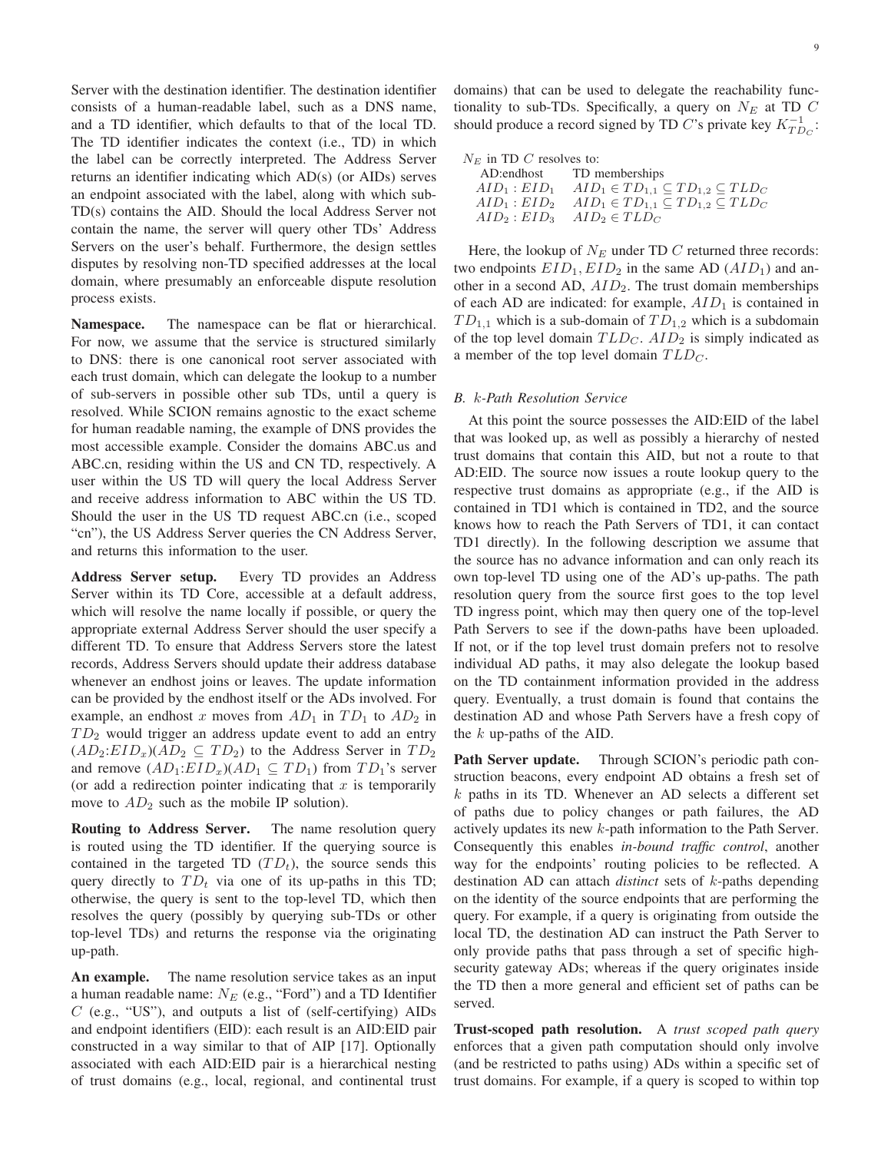Server with the destination identifier. The destination identifier consists of a human-readable label, such as a DNS name, and a TD identifier, which defaults to that of the local TD. The TD identifier indicates the context (i.e., TD) in which the label can be correctly interpreted. The Address Server returns an identifier indicating which AD(s) (or AIDs) serves an endpoint associated with the label, along with which sub-TD(s) contains the AID. Should the local Address Server not contain the name, the server will query other TDs' Address Servers on the user's behalf. Furthermore, the design settles disputes by resolving non-TD specified addresses at the local domain, where presumably an enforceable dispute resolution process exists.

Namespace. The namespace can be flat or hierarchical. For now, we assume that the service is structured similarly to DNS: there is one canonical root server associated with each trust domain, which can delegate the lookup to a number of sub-servers in possible other sub TDs, until a query is resolved. While SCION remains agnostic to the exact scheme for human readable naming, the example of DNS provides the most accessible example. Consider the domains ABC.us and ABC.cn, residing within the US and CN TD, respectively. A user within the US TD will query the local Address Server and receive address information to ABC within the US TD. Should the user in the US TD request ABC.cn (i.e., scoped "cn"), the US Address Server queries the CN Address Server, and returns this information to the user.

Address Server setup. Every TD provides an Address Server within its TD Core, accessible at a default address, which will resolve the name locally if possible, or query the appropriate external Address Server should the user specify a different TD. To ensure that Address Servers store the latest records, Address Servers should update their address database whenever an endhost joins or leaves. The update information can be provided by the endhost itself or the ADs involved. For example, an endhost x moves from  $AD_1$  in  $TD_1$  to  $AD_2$  in  $TD_2$  would trigger an address update event to add an entry  $(AD_2: EID_x)(AD_2 \subseteq TD_2)$  to the Address Server in  $TD_2$ and remove  $(AD_1: EID_x)(AD_1 \subseteq TD_1)$  from  $TD_1$ 's server (or add a redirection pointer indicating that  $x$  is temporarily move to  $AD_2$  such as the mobile IP solution).

Routing to Address Server. The name resolution query is routed using the TD identifier. If the querying source is contained in the targeted TD  $(T D_t)$ , the source sends this query directly to  $TD_t$  via one of its up-paths in this TD; otherwise, the query is sent to the top-level TD, which then resolves the query (possibly by querying sub-TDs or other top-level TDs) and returns the response via the originating up-path.

An example. The name resolution service takes as an input a human readable name:  $N_E$  (e.g., "Ford") and a TD Identifier  $C$  (e.g., "US"), and outputs a list of (self-certifying) AIDs and endpoint identifiers (EID): each result is an AID:EID pair constructed in a way similar to that of AIP [17]. Optionally associated with each AID:EID pair is a hierarchical nesting of trust domains (e.g., local, regional, and continental trust domains) that can be used to delegate the reachability functionality to sub-TDs. Specifically, a query on  $N_E$  at TD  $C$ should produce a record signed by TD C's private key  $K_{TD_C}^{-1}$ :

 $N_E$  in TD  $C$  resolves to:

| AD:endhost      | TD memberships                                          |
|-----------------|---------------------------------------------------------|
| $AID_1 : EID_1$ | $AID_1 \in TD_{1,1} \subseteq TD_{1,2} \subseteq TLD_C$ |
| $AID_1 : EID_2$ | $AID_1 \in TD_{1,1} \subseteq TD_{1,2} \subseteq TLD_C$ |
| $AID_2: EID_3$  | $AID_2 \in TLD_C$                                       |

Here, the lookup of  $N_E$  under TD C returned three records: two endpoints  $EID_1, EID_2$  in the same AD  $(AID_1)$  and another in a second AD,  $AID_2$ . The trust domain memberships of each AD are indicated: for example,  $AID_1$  is contained in  $TD_{1,1}$  which is a sub-domain of  $TD_{1,2}$  which is a subdomain of the top level domain  $TLD_C$ .  $AID_2$  is simply indicated as a member of the top level domain  $TLD_C$ .

#### *B.* k*-Path Resolution Service*

At this point the source possesses the AID:EID of the label that was looked up, as well as possibly a hierarchy of nested trust domains that contain this AID, but not a route to that AD:EID. The source now issues a route lookup query to the respective trust domains as appropriate (e.g., if the AID is contained in TD1 which is contained in TD2, and the source knows how to reach the Path Servers of TD1, it can contact TD1 directly). In the following description we assume that the source has no advance information and can only reach its own top-level TD using one of the AD's up-paths. The path resolution query from the source first goes to the top level TD ingress point, which may then query one of the top-level Path Servers to see if the down-paths have been uploaded. If not, or if the top level trust domain prefers not to resolve individual AD paths, it may also delegate the lookup based on the TD containment information provided in the address query. Eventually, a trust domain is found that contains the destination AD and whose Path Servers have a fresh copy of the  $k$  up-paths of the AID.

Path Server update. Through SCION's periodic path construction beacons, every endpoint AD obtains a fresh set of  $k$  paths in its TD. Whenever an AD selects a different set of paths due to policy changes or path failures, the AD actively updates its new k-path information to the Path Server. Consequently this enables *in-bound traffic control*, another way for the endpoints' routing policies to be reflected. A destination AD can attach *distinct* sets of k-paths depending on the identity of the source endpoints that are performing the query. For example, if a query is originating from outside the local TD, the destination AD can instruct the Path Server to only provide paths that pass through a set of specific highsecurity gateway ADs; whereas if the query originates inside the TD then a more general and efficient set of paths can be served.

Trust-scoped path resolution. A *trust scoped path query* enforces that a given path computation should only involve (and be restricted to paths using) ADs within a specific set of trust domains. For example, if a query is scoped to within top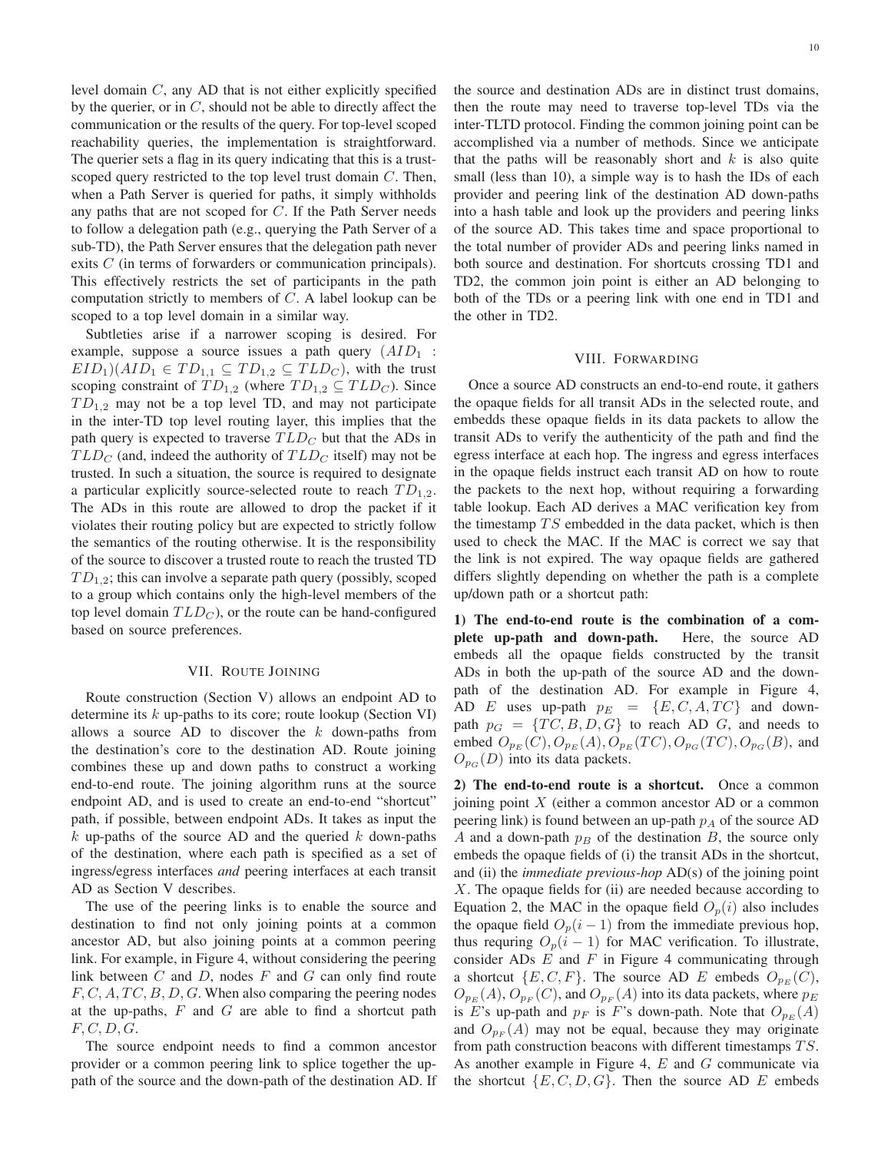level domain C, any AD that is not either explicitly specified by the querier, or in  $C$ , should not be able to directly affect the communication or the results of the query. For top-level scoped reachability queries, the implementation is straightforward. The querier sets a flag in its query indicating that this is a trustscoped query restricted to the top level trust domain  $C$ . Then, when a Path Server is queried for paths, it simply withholds any paths that are not scoped for C. If the Path Server needs to follow a delegation path (e.g., querying the Path Server of a sub-TD), the Path Server ensures that the delegation path never exits C (in terms of forwarders or communication principals). This effectively restricts the set of participants in the path computation strictly to members of  $C$ . A label lookup can be scoped to a top level domain in a similar way.

Subtleties arise if a narrower scoping is desired. For example, suppose a source issues a path query  $(AID_1$ :  $EID_1$ )( $AID_1 \in TD_{1,1} \subseteq TD_{1,2} \subseteq TLD_C$ ), with the trust scoping constraint of  $TD_{1,2}$  (where  $TD_{1,2} \subseteq TLD_C$ ). Since  $TD_{1,2}$  may not be a top level TD, and may not participate in the inter-TD top level routing layer, this implies that the path query is expected to traverse  $TLD_C$  but that the ADs in  $TLD_{C}$  (and, indeed the authority of  $TLD_{C}$  itself) may not be trusted. In such a situation, the source is required to designate a particular explicitly source-selected route to reach  $TD_{1,2}$ . The ADs in this route are allowed to drop the packet if it violates their routing policy but are expected to strictly follow the semantics of the routing otherwise. It is the responsibility of the source to discover a trusted route to reach the trusted TD  $TD_{1,2}$ ; this can involve a separate path query (possibly, scoped to a group which contains only the high-level members of the top level domain  $TLD_C$ ), or the route can be hand-configured based on source preferences.

# VII. ROUTE JOINING

Route construction (Section V) allows an endpoint AD to determine its  $k$  up-paths to its core; route lookup (Section VI) allows a source AD to discover the  $k$  down-paths from the destination's core to the destination AD. Route joining combines these up and down paths to construct a working end-to-end route. The joining algorithm runs at the source endpoint AD, and is used to create an end-to-end "shortcut" path, if possible, between endpoint ADs. It takes as input the k up-paths of the source AD and the queried k down-paths of the destination, where each path is specified as a set of ingress/egress interfaces *and* peering interfaces at each transit AD as Section V describes.

The use of the peering links is to enable the source and destination to find not only joining points at a common ancestor AD, but also joining points at a common peering link. For example, in Figure 4, without considering the peering link between  $C$  and  $D$ , nodes  $F$  and  $G$  can only find route  $F, C, A, TC, B, D, G$ . When also comparing the peering nodes at the up-paths,  $F$  and  $G$  are able to find a shortcut path  $F, C, D, G.$ 

The source endpoint needs to find a common ancestor provider or a common peering link to splice together the uppath of the source and the down-path of the destination AD. If the source and destination ADs are in distinct trust domains, then the route may need to traverse top-level TDs via the inter-TLTD protocol. Finding the common joining point can be accomplished via a number of methods. Since we anticipate that the paths will be reasonably short and  $k$  is also quite small (less than 10), a simple way is to hash the IDs of each provider and peering link of the destination AD down-paths into a hash table and look up the providers and peering links of the source AD. This takes time and space proportional to the total number of provider ADs and peering links named in both source and destination. For shortcuts crossing TD1 and TD2, the common join point is either an AD belonging to both of the TDs or a peering link with one end in TD1 and the other in TD2.

## VIII. FORWARDING

Once a source AD constructs an end-to-end route, it gathers the opaque fields for all transit ADs in the selected route, and embedds these opaque fields in its data packets to allow the transit ADs to verify the authenticity of the path and find the egress interface at each hop. The ingress and egress interfaces in the opaque fields instruct each transit AD on how to route the packets to the next hop, without requiring a forwarding table lookup. Each AD derives a MAC verification key from the timestamp  $TS$  embedded in the data packet, which is then used to check the MAC. If the MAC is correct we say that the link is not expired. The way opaque fields are gathered differs slightly depending on whether the path is a complete up/down path or a shortcut path:

1) The end-to-end route is the combination of a complete up-path and down-path. Here, the source AD embeds all the opaque fields constructed by the transit ADs in both the up-path of the source AD and the downpath of the destination AD. For example in Figure 4, AD E uses up-path  $p_E = \{E, C, A, TC\}$  and downpath  $p_G = \{TC, B, D, G\}$  to reach AD G, and needs to embed  $O_{p_E}(C)$ ,  $O_{p_E}(A)$ ,  $O_{p_E}(TC)$ ,  $O_{p_G}(TC)$ ,  $O_{p_G}(B)$ , and  $O_{p_G}(D)$  into its data packets.

2) The end-to-end route is a shortcut. Once a common joining point  $X$  (either a common ancestor AD or a common peering link) is found between an up-path  $p_A$  of the source AD A and a down-path  $p_B$  of the destination B, the source only embeds the opaque fields of (i) the transit ADs in the shortcut, and (ii) the *immediate previous-hop* AD(s) of the joining point  $X$ . The opaque fields for (ii) are needed because according to Equation 2, the MAC in the opaque field  $O_p(i)$  also includes the opaque field  $O_p(i-1)$  from the immediate previous hop, thus requring  $O_p(i - 1)$  for MAC verification. To illustrate, consider ADs  $E$  and  $F$  in Figure 4 communicating through a shortcut  $\{E, C, F\}$ . The source AD E embeds  $O_{p_E}(C)$ ,  $O_{p_E}(A)$ ,  $O_{p_F}(C)$ , and  $O_{p_F}(A)$  into its data packets, where  $p_E$ is E's up-path and  $p_F$  is F's down-path. Note that  $O_{p_E}(A)$ and  $O_{p_F}(A)$  may not be equal, because they may originate from path construction beacons with different timestamps  $TS$ . As another example in Figure 4,  $E$  and  $G$  communicate via the shortcut  $\{E, C, D, G\}$ . Then the source AD E embeds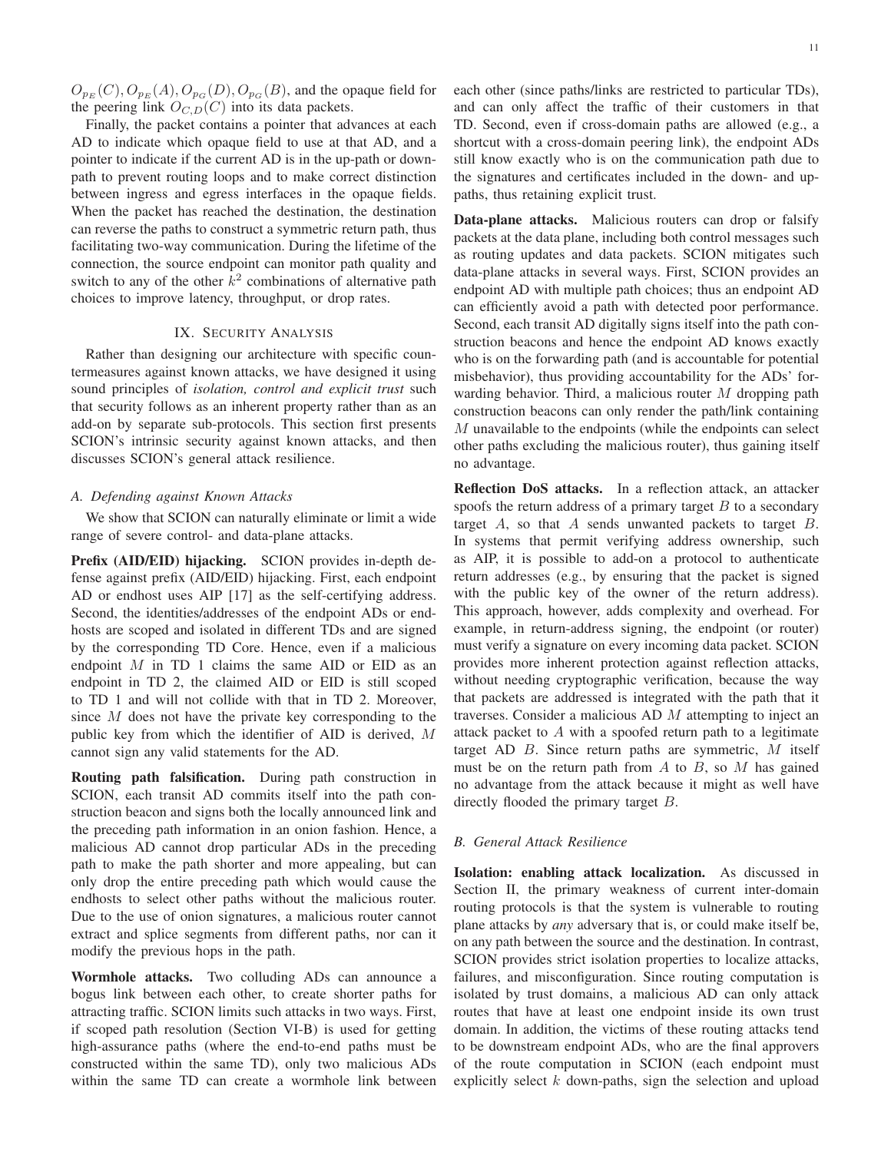$O_{p_E}(C)$ ,  $O_{p_E}(A)$ ,  $O_{p_G}(D)$ ,  $O_{p_G}(B)$ , and the opaque field for the peering link  $O_{C,D}(C)$  into its data packets.

Finally, the packet contains a pointer that advances at each AD to indicate which opaque field to use at that AD, and a pointer to indicate if the current AD is in the up-path or downpath to prevent routing loops and to make correct distinction between ingress and egress interfaces in the opaque fields. When the packet has reached the destination, the destination can reverse the paths to construct a symmetric return path, thus facilitating two-way communication. During the lifetime of the connection, the source endpoint can monitor path quality and switch to any of the other  $k^2$  combinations of alternative path choices to improve latency, throughput, or drop rates.

# IX. SECURITY ANALYSIS

Rather than designing our architecture with specific countermeasures against known attacks, we have designed it using sound principles of *isolation, control and explicit trust* such that security follows as an inherent property rather than as an add-on by separate sub-protocols. This section first presents SCION's intrinsic security against known attacks, and then discusses SCION's general attack resilience.

# *A. Defending against Known Attacks*

We show that SCION can naturally eliminate or limit a wide range of severe control- and data-plane attacks.

Prefix (AID/EID) hijacking. SCION provides in-depth defense against prefix (AID/EID) hijacking. First, each endpoint AD or endhost uses AIP [17] as the self-certifying address. Second, the identities/addresses of the endpoint ADs or endhosts are scoped and isolated in different TDs and are signed by the corresponding TD Core. Hence, even if a malicious endpoint  $M$  in TD 1 claims the same AID or EID as an endpoint in TD 2, the claimed AID or EID is still scoped to TD 1 and will not collide with that in TD 2. Moreover, since M does not have the private key corresponding to the public key from which the identifier of AID is derived, M cannot sign any valid statements for the AD.

Routing path falsification. During path construction in SCION, each transit AD commits itself into the path construction beacon and signs both the locally announced link and the preceding path information in an onion fashion. Hence, a malicious AD cannot drop particular ADs in the preceding path to make the path shorter and more appealing, but can only drop the entire preceding path which would cause the endhosts to select other paths without the malicious router. Due to the use of onion signatures, a malicious router cannot extract and splice segments from different paths, nor can it modify the previous hops in the path.

Wormhole attacks. Two colluding ADs can announce a bogus link between each other, to create shorter paths for attracting traffic. SCION limits such attacks in two ways. First, if scoped path resolution (Section VI-B) is used for getting high-assurance paths (where the end-to-end paths must be constructed within the same TD), only two malicious ADs within the same TD can create a wormhole link between Data-plane attacks. Malicious routers can drop or falsify packets at the data plane, including both control messages such as routing updates and data packets. SCION mitigates such data-plane attacks in several ways. First, SCION provides an endpoint AD with multiple path choices; thus an endpoint AD can efficiently avoid a path with detected poor performance. Second, each transit AD digitally signs itself into the path construction beacons and hence the endpoint AD knows exactly who is on the forwarding path (and is accountable for potential misbehavior), thus providing accountability for the ADs' forwarding behavior. Third, a malicious router  $M$  dropping path construction beacons can only render the path/link containing M unavailable to the endpoints (while the endpoints can select other paths excluding the malicious router), thus gaining itself no advantage.

Reflection DoS attacks. In a reflection attack, an attacker spoofs the return address of a primary target  $B$  to a secondary target  $A$ , so that  $A$  sends unwanted packets to target  $B$ . In systems that permit verifying address ownership, such as AIP, it is possible to add-on a protocol to authenticate return addresses (e.g., by ensuring that the packet is signed with the public key of the owner of the return address). This approach, however, adds complexity and overhead. For example, in return-address signing, the endpoint (or router) must verify a signature on every incoming data packet. SCION provides more inherent protection against reflection attacks, without needing cryptographic verification, because the way that packets are addressed is integrated with the path that it traverses. Consider a malicious AD  $M$  attempting to inject an attack packet to A with a spoofed return path to a legitimate target AD B. Since return paths are symmetric, M itself must be on the return path from  $A$  to  $B$ , so  $M$  has gained no advantage from the attack because it might as well have directly flooded the primary target B.

# *B. General Attack Resilience*

Isolation: enabling attack localization. As discussed in Section II, the primary weakness of current inter-domain routing protocols is that the system is vulnerable to routing plane attacks by *any* adversary that is, or could make itself be, on any path between the source and the destination. In contrast, SCION provides strict isolation properties to localize attacks, failures, and misconfiguration. Since routing computation is isolated by trust domains, a malicious AD can only attack routes that have at least one endpoint inside its own trust domain. In addition, the victims of these routing attacks tend to be downstream endpoint ADs, who are the final approvers of the route computation in SCION (each endpoint must explicitly select  $k$  down-paths, sign the selection and upload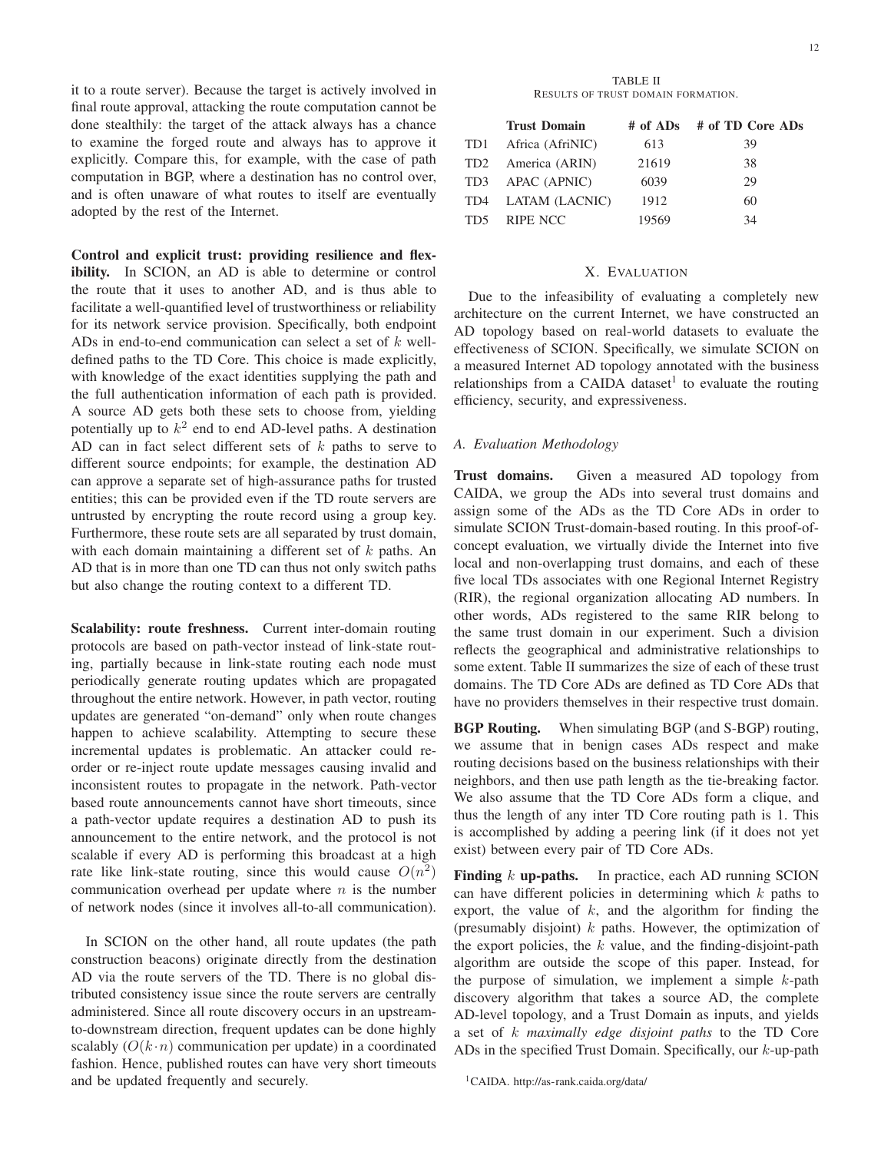it to a route server). Because the target is actively involved in final route approval, attacking the route computation cannot be done stealthily: the target of the attack always has a chance to examine the forged route and always has to approve it explicitly. Compare this, for example, with the case of path computation in BGP, where a destination has no control over, and is often unaware of what routes to itself are eventually adopted by the rest of the Internet.

Control and explicit trust: providing resilience and flexibility. In SCION, an AD is able to determine or control the route that it uses to another AD, and is thus able to facilitate a well-quantified level of trustworthiness or reliability for its network service provision. Specifically, both endpoint ADs in end-to-end communication can select a set of k welldefined paths to the TD Core. This choice is made explicitly, with knowledge of the exact identities supplying the path and the full authentication information of each path is provided. A source AD gets both these sets to choose from, yielding potentially up to  $k^2$  end to end AD-level paths. A destination AD can in fact select different sets of  $k$  paths to serve to different source endpoints; for example, the destination AD can approve a separate set of high-assurance paths for trusted entities; this can be provided even if the TD route servers are untrusted by encrypting the route record using a group key. Furthermore, these route sets are all separated by trust domain, with each domain maintaining a different set of  $k$  paths. An AD that is in more than one TD can thus not only switch paths but also change the routing context to a different TD.

**Scalability: route freshness.** Current inter-domain routing protocols are based on path-vector instead of link-state routing, partially because in link-state routing each node must periodically generate routing updates which are propagated throughout the entire network. However, in path vector, routing updates are generated "on-demand" only when route changes happen to achieve scalability. Attempting to secure these incremental updates is problematic. An attacker could reorder or re-inject route update messages causing invalid and inconsistent routes to propagate in the network. Path-vector based route announcements cannot have short timeouts, since a path-vector update requires a destination AD to push its announcement to the entire network, and the protocol is not scalable if every AD is performing this broadcast at a high rate like link-state routing, since this would cause  $O(n^2)$ communication overhead per update where  $n$  is the number of network nodes (since it involves all-to-all communication).

In SCION on the other hand, all route updates (the path construction beacons) originate directly from the destination AD via the route servers of the TD. There is no global distributed consistency issue since the route servers are centrally administered. Since all route discovery occurs in an upstreamto-downstream direction, frequent updates can be done highly scalably  $(O(k \cdot n))$  communication per update) in a coordinated fashion. Hence, published routes can have very short timeouts and be updated frequently and securely.

#### TABLE II RESULTS OF TRUST DOMAIN FORMATION.

|     | <b>Trust Domain</b> |       | # of ADs # of TD Core ADs |
|-----|---------------------|-------|---------------------------|
| TD1 | Africa (AfriNIC)    | 613   | 39                        |
|     | TD2 America (ARIN)  | 21619 | 38                        |
|     | TD3 APAC (APNIC)    | 6039  | 29                        |
|     | TD4 LATAM (LACNIC)  | 1912  | 60                        |
| TD5 | RIPE NCC            | 19569 | 34                        |

# X. EVALUATION

Due to the infeasibility of evaluating a completely new architecture on the current Internet, we have constructed an AD topology based on real-world datasets to evaluate the effectiveness of SCION. Specifically, we simulate SCION on a measured Internet AD topology annotated with the business relationships from a CAIDA dataset<sup>1</sup> to evaluate the routing efficiency, security, and expressiveness.

## *A. Evaluation Methodology*

Trust domains. Given a measured AD topology from CAIDA, we group the ADs into several trust domains and assign some of the ADs as the TD Core ADs in order to simulate SCION Trust-domain-based routing. In this proof-ofconcept evaluation, we virtually divide the Internet into five local and non-overlapping trust domains, and each of these five local TDs associates with one Regional Internet Registry (RIR), the regional organization allocating AD numbers. In other words, ADs registered to the same RIR belong to the same trust domain in our experiment. Such a division reflects the geographical and administrative relationships to some extent. Table II summarizes the size of each of these trust domains. The TD Core ADs are defined as TD Core ADs that have no providers themselves in their respective trust domain.

BGP Routing. When simulating BGP (and S-BGP) routing, we assume that in benign cases ADs respect and make routing decisions based on the business relationships with their neighbors, and then use path length as the tie-breaking factor. We also assume that the TD Core ADs form a clique, and thus the length of any inter TD Core routing path is 1. This is accomplished by adding a peering link (if it does not yet exist) between every pair of TD Core ADs.

**Finding**  $k$  **up-paths.** In practice, each AD running SCION can have different policies in determining which  $k$  paths to export, the value of  $k$ , and the algorithm for finding the (presumably disjoint)  $k$  paths. However, the optimization of the export policies, the  $k$  value, and the finding-disjoint-path algorithm are outside the scope of this paper. Instead, for the purpose of simulation, we implement a simple  $k$ -path discovery algorithm that takes a source AD, the complete AD-level topology, and a Trust Domain as inputs, and yields a set of k *maximally edge disjoint paths* to the TD Core ADs in the specified Trust Domain. Specifically, our k-up-path

<sup>1</sup>CAIDA. http://as-rank.caida.org/data/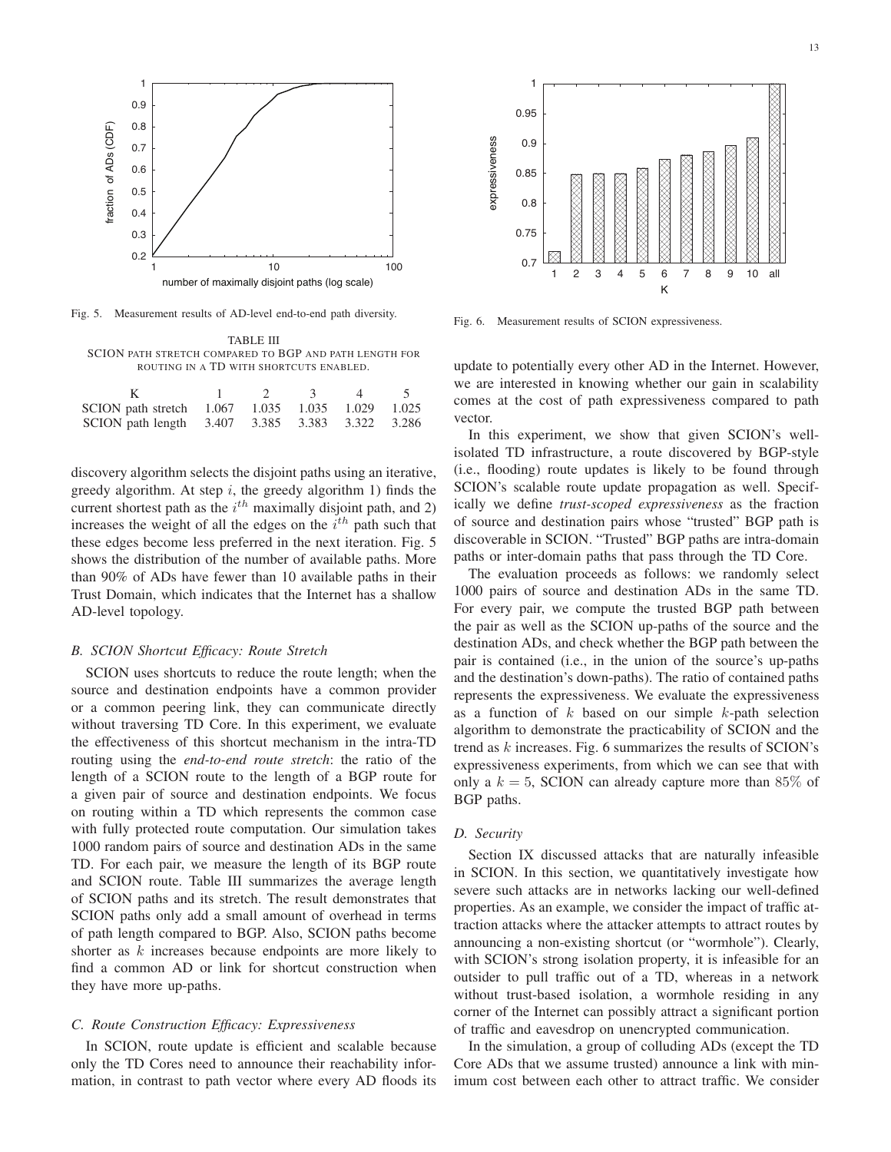

Fig. 5. Measurement results of AD-level end-to-end path diversity.

TABLE III SCION PATH STRETCH COMPARED TO BGP AND PATH LENGTH FOR ROUTING IN A TD WITH SHORTCUTS ENABLED.

|                                                  | $\begin{array}{ccc} 1 & 2 & 3 \end{array}$ | $\sim$ 4 |  |
|--------------------------------------------------|--------------------------------------------|----------|--|
| SCION path stretch 1.067 1.035 1.035 1.029 1.025 |                                            |          |  |
| SCION path length 3.407 3.385 3.383 3.322 3.286  |                                            |          |  |

discovery algorithm selects the disjoint paths using an iterative, greedy algorithm. At step  $i$ , the greedy algorithm 1) finds the current shortest path as the  $i^{th}$  maximally disjoint path, and 2) increases the weight of all the edges on the  $i<sup>th</sup>$  path such that these edges become less preferred in the next iteration. Fig. 5 shows the distribution of the number of available paths. More than 90% of ADs have fewer than 10 available paths in their Trust Domain, which indicates that the Internet has a shallow AD-level topology.

#### *B. SCION Shortcut Efficacy: Route Stretch*

SCION uses shortcuts to reduce the route length; when the source and destination endpoints have a common provider or a common peering link, they can communicate directly without traversing TD Core. In this experiment, we evaluate the effectiveness of this shortcut mechanism in the intra-TD routing using the *end-to-end route stretch*: the ratio of the length of a SCION route to the length of a BGP route for a given pair of source and destination endpoints. We focus on routing within a TD which represents the common case with fully protected route computation. Our simulation takes 1000 random pairs of source and destination ADs in the same TD. For each pair, we measure the length of its BGP route and SCION route. Table III summarizes the average length of SCION paths and its stretch. The result demonstrates that SCION paths only add a small amount of overhead in terms of path length compared to BGP. Also, SCION paths become shorter as  $k$  increases because endpoints are more likely to find a common AD or link for shortcut construction when they have more up-paths.

#### *C. Route Construction Efficacy: Expressiveness*

In SCION, route update is efficient and scalable because only the TD Cores need to announce their reachability information, in contrast to path vector where every AD floods its



Fig. 6. Measurement results of SCION expressiveness.

update to potentially every other AD in the Internet. However, we are interested in knowing whether our gain in scalability comes at the cost of path expressiveness compared to path vector.

In this experiment, we show that given SCION's wellisolated TD infrastructure, a route discovered by BGP-style (i.e., flooding) route updates is likely to be found through SCION's scalable route update propagation as well. Specifically we define *trust-scoped expressiveness* as the fraction of source and destination pairs whose "trusted" BGP path is discoverable in SCION. "Trusted" BGP paths are intra-domain paths or inter-domain paths that pass through the TD Core.

The evaluation proceeds as follows: we randomly select 1000 pairs of source and destination ADs in the same TD. For every pair, we compute the trusted BGP path between the pair as well as the SCION up-paths of the source and the destination ADs, and check whether the BGP path between the pair is contained (i.e., in the union of the source's up-paths and the destination's down-paths). The ratio of contained paths represents the expressiveness. We evaluate the expressiveness as a function of  $k$  based on our simple  $k$ -path selection algorithm to demonstrate the practicability of SCION and the trend as  $k$  increases. Fig. 6 summarizes the results of SCION's expressiveness experiments, from which we can see that with only a  $k = 5$ , SCION can already capture more than 85% of BGP paths.

## *D. Security*

Section IX discussed attacks that are naturally infeasible in SCION. In this section, we quantitatively investigate how severe such attacks are in networks lacking our well-defined properties. As an example, we consider the impact of traffic attraction attacks where the attacker attempts to attract routes by announcing a non-existing shortcut (or "wormhole"). Clearly, with SCION's strong isolation property, it is infeasible for an outsider to pull traffic out of a TD, whereas in a network without trust-based isolation, a wormhole residing in any corner of the Internet can possibly attract a significant portion of traffic and eavesdrop on unencrypted communication.

In the simulation, a group of colluding ADs (except the TD Core ADs that we assume trusted) announce a link with minimum cost between each other to attract traffic. We consider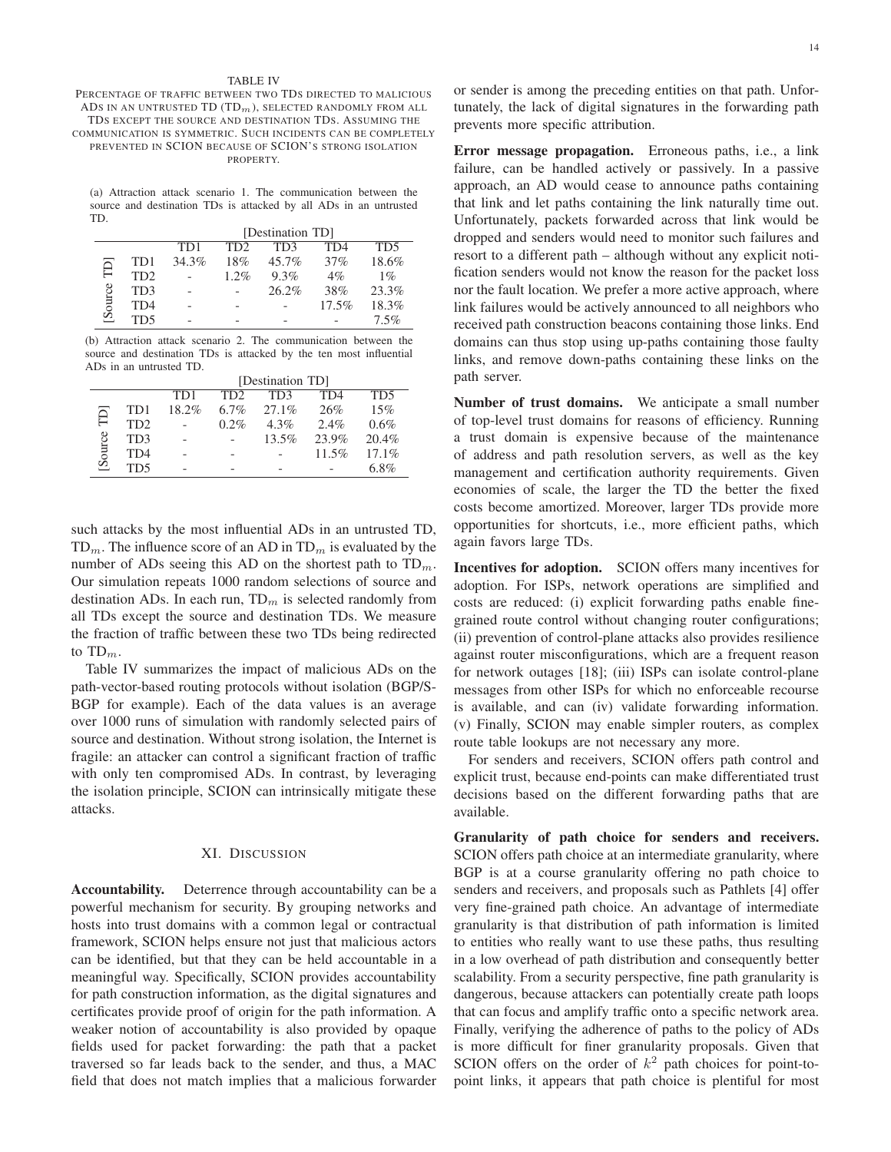#### TABLE IV

PERCENTAGE OF TRAFFIC BETWEEN TWO TDS DIRECTED TO MALICIOUS ADS IN AN UNTRUSTED TD  $(TD_m)$ , SELECTED RANDOMLY FROM ALL TDS EXCEPT THE SOURCE AND DESTINATION TDS. ASSUMING THE COMMUNICATION IS SYMMETRIC. SUCH INCIDENTS CAN BE COMPLETELY PREVENTED IN SCION BECAUSE OF SCION'S STRONG ISOLATION PROPERTY.

(a) Attraction attack scenario 1. The communication between the source and destination TDs is attacked by all ADs in an untrusted TD.

|        |                  | [Destination TD] |                 |       |       |                  |  |
|--------|------------------|------------------|-----------------|-------|-------|------------------|--|
|        |                  | TD1              | TD <sub>2</sub> | TD3   | TD4   | T <sub>D</sub> 5 |  |
| Ē      | TD1              | 34.3%            | 18%             | 45.7% | 37%   | 18.6%            |  |
|        | TD <sub>2</sub>  |                  | $1.2\%$         | 9.3%  | 4%    | $1\%$            |  |
| Source | T <sub>D</sub> 3 |                  |                 | 26.2% | 38%   | 23.3%            |  |
|        | TD <sub>4</sub>  |                  |                 |       | 17.5% | 18.3%            |  |
|        | TD <sub>5</sub>  |                  |                 |       |       | 7.5%             |  |

(b) Attraction attack scenario 2. The communication between the source and destination TDs is attacked by the ten most influential ADs in an untrusted TD.

|        |                  | [Destination TD] |                 |          |          |         |
|--------|------------------|------------------|-----------------|----------|----------|---------|
|        |                  | TD <sub>1</sub>  | TD <sub>2</sub> | TD3      | TD4      | TD5     |
| ≏      | TD1              | $18.2\%$         | 6.7%            | $27.1\%$ | 26%      | 15%     |
| ᄃ      | TD <sub>2</sub>  |                  | $0.2\%$         | $4.3\%$  | 2.4%     | 0.6%    |
|        | T <sub>D</sub> 3 |                  |                 | $13.5\%$ | 23.9%    | 20.4%   |
| Source | T <sub>D</sub> 4 |                  |                 |          | $11.5\%$ | 17.1%   |
|        | T <sub>D5</sub>  |                  |                 |          |          | $6.8\%$ |

such attacks by the most influential ADs in an untrusted TD, TD<sub>m</sub>. The influence score of an AD in TD<sub>m</sub> is evaluated by the number of ADs seeing this AD on the shortest path to  $TD_m$ . Our simulation repeats 1000 random selections of source and destination ADs. In each run,  $TD_m$  is selected randomly from all TDs except the source and destination TDs. We measure the fraction of traffic between these two TDs being redirected to  $TD_m$ .

Table IV summarizes the impact of malicious ADs on the path-vector-based routing protocols without isolation (BGP/S-BGP for example). Each of the data values is an average over 1000 runs of simulation with randomly selected pairs of source and destination. Without strong isolation, the Internet is fragile: an attacker can control a significant fraction of traffic with only ten compromised ADs. In contrast, by leveraging the isolation principle, SCION can intrinsically mitigate these attacks.

# XI. DISCUSSION

Accountability. Deterrence through accountability can be a powerful mechanism for security. By grouping networks and hosts into trust domains with a common legal or contractual framework, SCION helps ensure not just that malicious actors can be identified, but that they can be held accountable in a meaningful way. Specifically, SCION provides accountability for path construction information, as the digital signatures and certificates provide proof of origin for the path information. A weaker notion of accountability is also provided by opaque fields used for packet forwarding: the path that a packet traversed so far leads back to the sender, and thus, a MAC field that does not match implies that a malicious forwarder or sender is among the preceding entities on that path. Unfortunately, the lack of digital signatures in the forwarding path prevents more specific attribution.

Error message propagation. Erroneous paths, i.e., a link failure, can be handled actively or passively. In a passive approach, an AD would cease to announce paths containing that link and let paths containing the link naturally time out. Unfortunately, packets forwarded across that link would be dropped and senders would need to monitor such failures and resort to a different path – although without any explicit notification senders would not know the reason for the packet loss nor the fault location. We prefer a more active approach, where link failures would be actively announced to all neighbors who received path construction beacons containing those links. End domains can thus stop using up-paths containing those faulty links, and remove down-paths containing these links on the path server.

Number of trust domains. We anticipate a small number of top-level trust domains for reasons of efficiency. Running a trust domain is expensive because of the maintenance of address and path resolution servers, as well as the key management and certification authority requirements. Given economies of scale, the larger the TD the better the fixed costs become amortized. Moreover, larger TDs provide more opportunities for shortcuts, i.e., more efficient paths, which again favors large TDs.

Incentives for adoption. SCION offers many incentives for adoption. For ISPs, network operations are simplified and costs are reduced: (i) explicit forwarding paths enable finegrained route control without changing router configurations; (ii) prevention of control-plane attacks also provides resilience against router misconfigurations, which are a frequent reason for network outages [18]; (iii) ISPs can isolate control-plane messages from other ISPs for which no enforceable recourse is available, and can (iv) validate forwarding information. (v) Finally, SCION may enable simpler routers, as complex route table lookups are not necessary any more.

For senders and receivers, SCION offers path control and explicit trust, because end-points can make differentiated trust decisions based on the different forwarding paths that are available.

Granularity of path choice for senders and receivers. SCION offers path choice at an intermediate granularity, where BGP is at a course granularity offering no path choice to senders and receivers, and proposals such as Pathlets [4] offer very fine-grained path choice. An advantage of intermediate granularity is that distribution of path information is limited to entities who really want to use these paths, thus resulting in a low overhead of path distribution and consequently better scalability. From a security perspective, fine path granularity is dangerous, because attackers can potentially create path loops that can focus and amplify traffic onto a specific network area. Finally, verifying the adherence of paths to the policy of ADs is more difficult for finer granularity proposals. Given that SCION offers on the order of  $k^2$  path choices for point-topoint links, it appears that path choice is plentiful for most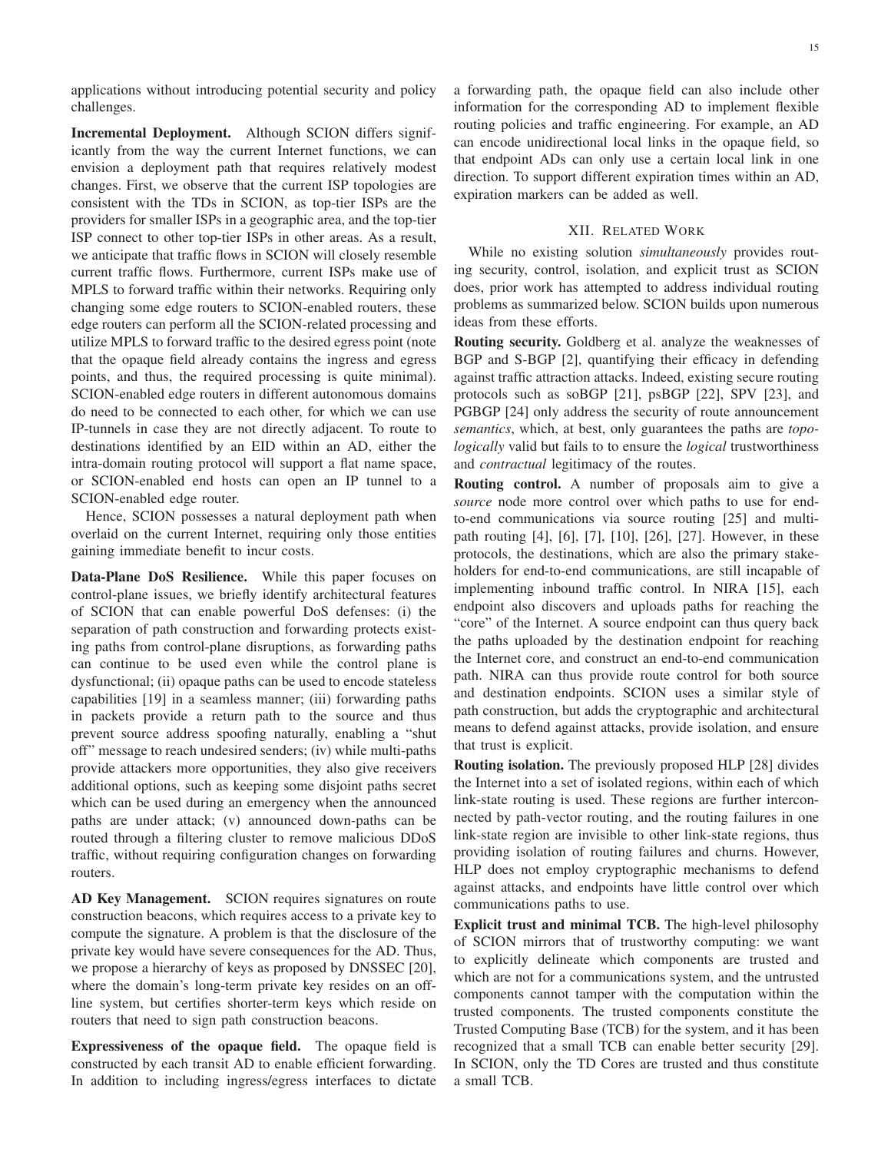applications without introducing potential security and policy challenges.

Incremental Deployment. Although SCION differs significantly from the way the current Internet functions, we can envision a deployment path that requires relatively modest changes. First, we observe that the current ISP topologies are consistent with the TDs in SCION, as top-tier ISPs are the providers for smaller ISPs in a geographic area, and the top-tier ISP connect to other top-tier ISPs in other areas. As a result, we anticipate that traffic flows in SCION will closely resemble current traffic flows. Furthermore, current ISPs make use of MPLS to forward traffic within their networks. Requiring only changing some edge routers to SCION-enabled routers, these edge routers can perform all the SCION-related processing and utilize MPLS to forward traffic to the desired egress point (note that the opaque field already contains the ingress and egress points, and thus, the required processing is quite minimal). SCION-enabled edge routers in different autonomous domains do need to be connected to each other, for which we can use IP-tunnels in case they are not directly adjacent. To route to destinations identified by an EID within an AD, either the intra-domain routing protocol will support a flat name space, or SCION-enabled end hosts can open an IP tunnel to a SCION-enabled edge router.

Hence, SCION possesses a natural deployment path when overlaid on the current Internet, requiring only those entities gaining immediate benefit to incur costs.

Data-Plane DoS Resilience. While this paper focuses on control-plane issues, we briefly identify architectural features of SCION that can enable powerful DoS defenses: (i) the separation of path construction and forwarding protects existing paths from control-plane disruptions, as forwarding paths can continue to be used even while the control plane is dysfunctional; (ii) opaque paths can be used to encode stateless capabilities [19] in a seamless manner; (iii) forwarding paths in packets provide a return path to the source and thus prevent source address spoofing naturally, enabling a "shut off" message to reach undesired senders; (iv) while multi-paths provide attackers more opportunities, they also give receivers additional options, such as keeping some disjoint paths secret which can be used during an emergency when the announced paths are under attack; (v) announced down-paths can be routed through a filtering cluster to remove malicious DDoS traffic, without requiring configuration changes on forwarding routers.

AD Key Management. SCION requires signatures on route construction beacons, which requires access to a private key to compute the signature. A problem is that the disclosure of the private key would have severe consequences for the AD. Thus, we propose a hierarchy of keys as proposed by DNSSEC [20], where the domain's long-term private key resides on an offline system, but certifies shorter-term keys which reside on routers that need to sign path construction beacons.

Expressiveness of the opaque field. The opaque field is constructed by each transit AD to enable efficient forwarding. In addition to including ingress/egress interfaces to dictate a forwarding path, the opaque field can also include other information for the corresponding AD to implement flexible routing policies and traffic engineering. For example, an AD can encode unidirectional local links in the opaque field, so that endpoint ADs can only use a certain local link in one direction. To support different expiration times within an AD, expiration markers can be added as well.

# XII. RELATED WORK

While no existing solution *simultaneously* provides routing security, control, isolation, and explicit trust as SCION does, prior work has attempted to address individual routing problems as summarized below. SCION builds upon numerous ideas from these efforts.

Routing security. Goldberg et al. analyze the weaknesses of BGP and S-BGP [2], quantifying their efficacy in defending against traffic attraction attacks. Indeed, existing secure routing protocols such as soBGP [21], psBGP [22], SPV [23], and PGBGP [24] only address the security of route announcement *semantics*, which, at best, only guarantees the paths are *topologically* valid but fails to to ensure the *logical* trustworthiness and *contractual* legitimacy of the routes.

Routing control. A number of proposals aim to give a *source* node more control over which paths to use for endto-end communications via source routing [25] and multipath routing [4], [6], [7], [10], [26], [27]. However, in these protocols, the destinations, which are also the primary stakeholders for end-to-end communications, are still incapable of implementing inbound traffic control. In NIRA [15], each endpoint also discovers and uploads paths for reaching the "core" of the Internet. A source endpoint can thus query back the paths uploaded by the destination endpoint for reaching the Internet core, and construct an end-to-end communication path. NIRA can thus provide route control for both source and destination endpoints. SCION uses a similar style of path construction, but adds the cryptographic and architectural means to defend against attacks, provide isolation, and ensure that trust is explicit.

Routing isolation. The previously proposed HLP [28] divides the Internet into a set of isolated regions, within each of which link-state routing is used. These regions are further interconnected by path-vector routing, and the routing failures in one link-state region are invisible to other link-state regions, thus providing isolation of routing failures and churns. However, HLP does not employ cryptographic mechanisms to defend against attacks, and endpoints have little control over which communications paths to use.

Explicit trust and minimal TCB. The high-level philosophy of SCION mirrors that of trustworthy computing: we want to explicitly delineate which components are trusted and which are not for a communications system, and the untrusted components cannot tamper with the computation within the trusted components. The trusted components constitute the Trusted Computing Base (TCB) for the system, and it has been recognized that a small TCB can enable better security [29]. In SCION, only the TD Cores are trusted and thus constitute a small TCB.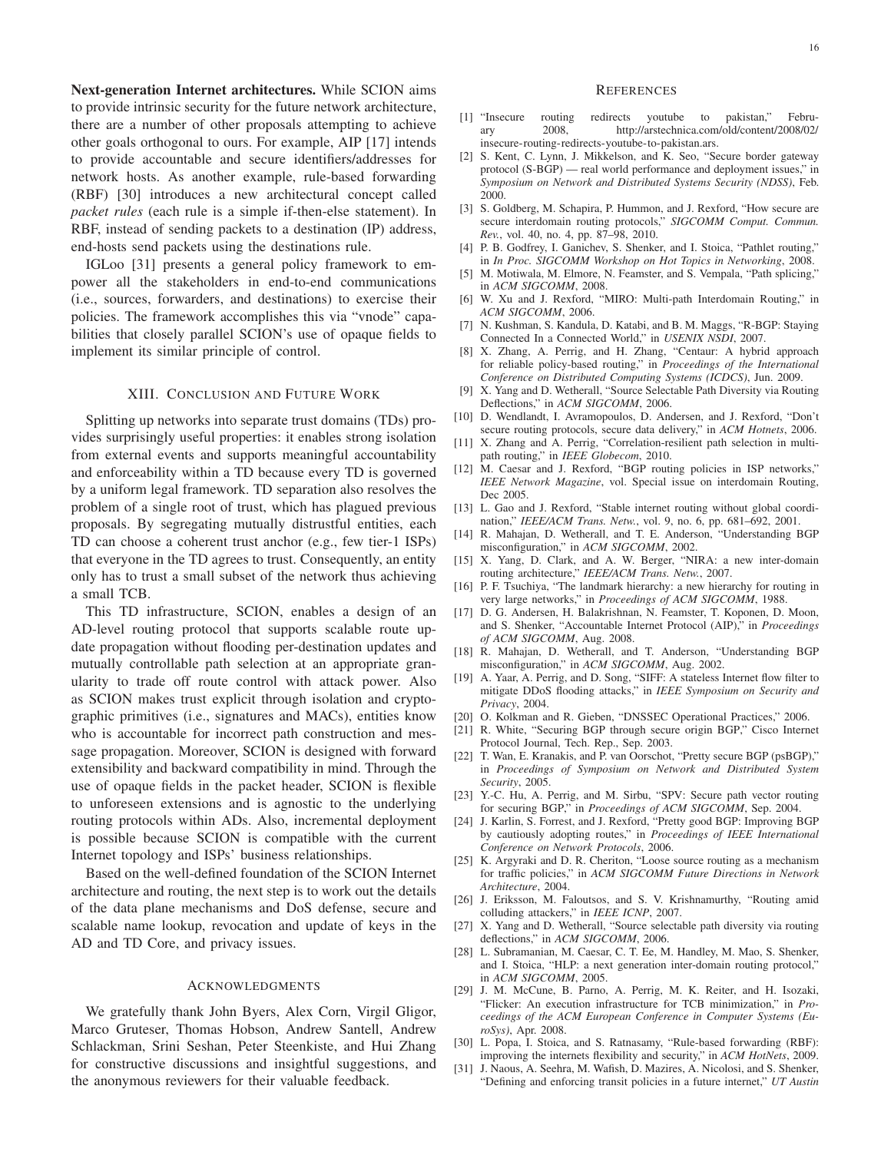Next-generation Internet architectures. While SCION aims to provide intrinsic security for the future network architecture, there are a number of other proposals attempting to achieve other goals orthogonal to ours. For example, AIP [17] intends to provide accountable and secure identifiers/addresses for network hosts. As another example, rule-based forwarding (RBF) [30] introduces a new architectural concept called *packet rules* (each rule is a simple if-then-else statement). In RBF, instead of sending packets to a destination (IP) address, end-hosts send packets using the destinations rule.

IGLoo [31] presents a general policy framework to empower all the stakeholders in end-to-end communications (i.e., sources, forwarders, and destinations) to exercise their policies. The framework accomplishes this via "vnode" capabilities that closely parallel SCION's use of opaque fields to implement its similar principle of control.

#### XIII. CONCLUSION AND FUTURE WORK

Splitting up networks into separate trust domains (TDs) provides surprisingly useful properties: it enables strong isolation from external events and supports meaningful accountability and enforceability within a TD because every TD is governed by a uniform legal framework. TD separation also resolves the problem of a single root of trust, which has plagued previous proposals. By segregating mutually distrustful entities, each TD can choose a coherent trust anchor (e.g., few tier-1 ISPs) that everyone in the TD agrees to trust. Consequently, an entity only has to trust a small subset of the network thus achieving a small TCB.

This TD infrastructure, SCION, enables a design of an AD-level routing protocol that supports scalable route update propagation without flooding per-destination updates and mutually controllable path selection at an appropriate granularity to trade off route control with attack power. Also as SCION makes trust explicit through isolation and cryptographic primitives (i.e., signatures and MACs), entities know who is accountable for incorrect path construction and message propagation. Moreover, SCION is designed with forward extensibility and backward compatibility in mind. Through the use of opaque fields in the packet header, SCION is flexible to unforeseen extensions and is agnostic to the underlying routing protocols within ADs. Also, incremental deployment is possible because SCION is compatible with the current Internet topology and ISPs' business relationships.

Based on the well-defined foundation of the SCION Internet architecture and routing, the next step is to work out the details of the data plane mechanisms and DoS defense, secure and scalable name lookup, revocation and update of keys in the AD and TD Core, and privacy issues.

#### ACKNOWLEDGMENTS

We gratefully thank John Byers, Alex Corn, Virgil Gligor, Marco Gruteser, Thomas Hobson, Andrew Santell, Andrew Schlackman, Srini Seshan, Peter Steenkiste, and Hui Zhang for constructive discussions and insightful suggestions, and the anonymous reviewers for their valuable feedback.

#### **REFERENCES**

- [1] "Insecure routing redirects youtube to pakistan," February 2008, http://arstechnica.com/old/content/2008/02/ insecure-routing-redirects-youtube-to-pakistan.ars.
- [2] S. Kent, C. Lynn, J. Mikkelson, and K. Seo, "Secure border gateway protocol (S-BGP) — real world performance and deployment issues," in *Symposium on Network and Distributed Systems Security (NDSS)*, Feb. 2000.
- [3] S. Goldberg, M. Schapira, P. Hummon, and J. Rexford, "How secure are secure interdomain routing protocols," *SIGCOMM Comput. Commun. Rev.*, vol. 40, no. 4, pp. 87–98, 2010.
- [4] P. B. Godfrey, I. Ganichev, S. Shenker, and I. Stoica, "Pathlet routing," in *In Proc. SIGCOMM Workshop on Hot Topics in Networking*, 2008.
- [5] M. Motiwala, M. Elmore, N. Feamster, and S. Vempala, "Path splicing," in *ACM SIGCOMM*, 2008.
- [6] W. Xu and J. Rexford, "MIRO: Multi-path Interdomain Routing," in *ACM SIGCOMM*, 2006.
- [7] N. Kushman, S. Kandula, D. Katabi, and B. M. Maggs, "R-BGP: Staying Connected In a Connected World," in *USENIX NSDI*, 2007.
- [8] X. Zhang, A. Perrig, and H. Zhang, "Centaur: A hybrid approach for reliable policy-based routing," in *Proceedings of the International Conference on Distributed Computing Systems (ICDCS)*, Jun. 2009.
- [9] X. Yang and D. Wetherall, "Source Selectable Path Diversity via Routing Deflections," in *ACM SIGCOMM*, 2006.
- [10] D. Wendlandt, I. Avramopoulos, D. Andersen, and J. Rexford, "Don't secure routing protocols, secure data delivery," in *ACM Hotnets*, 2006.
- [11] X. Zhang and A. Perrig, "Correlation-resilient path selection in multipath routing," in *IEEE Globecom*, 2010.
- [12] M. Caesar and J. Rexford, "BGP routing policies in ISP networks," *IEEE Network Magazine*, vol. Special issue on interdomain Routing, Dec 2005.
- [13] L. Gao and J. Rexford, "Stable internet routing without global coordination," *IEEE/ACM Trans. Netw.*, vol. 9, no. 6, pp. 681–692, 2001.
- [14] R. Mahajan, D. Wetherall, and T. E. Anderson, "Understanding BGP misconfiguration," in *ACM SIGCOMM*, 2002.
- [15] X. Yang, D. Clark, and A. W. Berger, "NIRA: a new inter-domain routing architecture," *IEEE/ACM Trans. Netw.*, 2007.
- [16] P. F. Tsuchiya, "The landmark hierarchy: a new hierarchy for routing in very large networks," in *Proceedings of ACM SIGCOMM*, 1988.
- [17] D. G. Andersen, H. Balakrishnan, N. Feamster, T. Koponen, D. Moon, and S. Shenker, "Accountable Internet Protocol (AIP)," in *Proceedings of ACM SIGCOMM*, Aug. 2008.
- [18] R. Mahajan, D. Wetherall, and T. Anderson, "Understanding BGP misconfiguration," in *ACM SIGCOMM*, Aug. 2002.
- [19] A. Yaar, A. Perrig, and D. Song, "SIFF: A stateless Internet flow filter to mitigate DDoS flooding attacks," in *IEEE Symposium on Security and Privacy*, 2004.
- [20] O. Kolkman and R. Gieben, "DNSSEC Operational Practices," 2006.
- [21] R. White, "Securing BGP through secure origin BGP," Cisco Internet
- Protocol Journal, Tech. Rep., Sep. 2003. [22] T. Wan, E. Kranakis, and P. van Oorschot, "Pretty secure BGP (psBGP)," in *Proceedings of Symposium on Network and Distributed System Security*, 2005.
- [23] Y.-C. Hu, A. Perrig, and M. Sirbu, "SPV: Secure path vector routing for securing BGP," in *Proceedings of ACM SIGCOMM*, Sep. 2004.
- [24] J. Karlin, S. Forrest, and J. Rexford, "Pretty good BGP: Improving BGP by cautiously adopting routes," in *Proceedings of IEEE International Conference on Network Protocols*, 2006.
- [25] K. Argyraki and D. R. Cheriton, "Loose source routing as a mechanism for traffic policies," in *ACM SIGCOMM Future Directions in Network Architecture*, 2004.
- [26] J. Eriksson, M. Faloutsos, and S. V. Krishnamurthy, "Routing amid colluding attackers," in *IEEE ICNP*, 2007.
- [27] X. Yang and D. Wetherall, "Source selectable path diversity via routing deflections," in *ACM SIGCOMM*, 2006.
- [28] L. Subramanian, M. Caesar, C. T. Ee, M. Handley, M. Mao, S. Shenker, and I. Stoica, "HLP: a next generation inter-domain routing protocol," in *ACM SIGCOMM*, 2005.
- [29] J. M. McCune, B. Parno, A. Perrig, M. K. Reiter, and H. Isozaki, "Flicker: An execution infrastructure for TCB minimization," in *Proceedings of the ACM European Conference in Computer Systems (EuroSys)*, Apr. 2008.
- [30] L. Popa, I. Stoica, and S. Ratnasamy, "Rule-based forwarding (RBF): improving the internets flexibility and security," in *ACM HotNets*, 2009.
- [31] J. Naous, A. Seehra, M. Wafish, D. Mazires, A. Nicolosi, and S. Shenker, "Defining and enforcing transit policies in a future internet," *UT Austin*